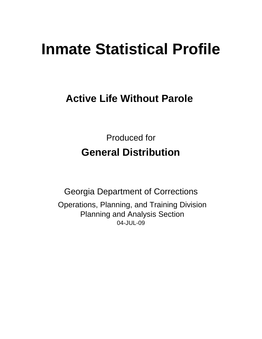# **Inmate Statistical Profile**

## **Active Life Without Parole**

Produced for **General Distribution**

04-JUL-09 Georgia Department of Corrections Operations, Planning, and Training Division Planning and Analysis Section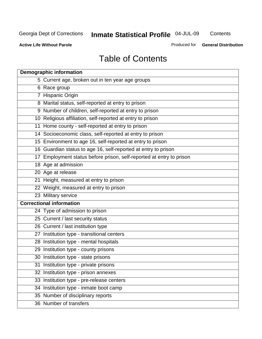**Contents** 

**Active Life Without Parole** 

Produced for **General Distribution**

## Table of Contents

| <b>Demographic information</b>                                       |
|----------------------------------------------------------------------|
| 5 Current age, broken out in ten year age groups                     |
| 6 Race group                                                         |
| 7 Hispanic Origin                                                    |
| 8 Marital status, self-reported at entry to prison                   |
| 9 Number of children, self-reported at entry to prison               |
| 10 Religious affiliation, self-reported at entry to prison           |
| 11 Home county - self-reported at entry to prison                    |
| 14 Socioeconomic class, self-reported at entry to prison             |
| 15 Environment to age 16, self-reported at entry to prison           |
| 16 Guardian status to age 16, self-reported at entry to prison       |
| 17 Employment status before prison, self-reported at entry to prison |
| 18 Age at admission                                                  |
| 20 Age at release                                                    |
| 21 Height, measured at entry to prison                               |
| 22 Weight, measured at entry to prison                               |
| 23 Military service                                                  |
| <b>Correctional information</b>                                      |
| 24 Type of admission to prison                                       |
| 25 Current / last security status                                    |
| 26 Current / last institution type                                   |
| 27 Institution type - transitional centers                           |
| 28 Institution type - mental hospitals                               |
| 29 Institution type - county prisons                                 |
| 30 Institution type - state prisons                                  |
| 31 Institution type - private prisons                                |
| 32 Institution type - prison annexes                                 |
| 33 Institution type - pre-release centers                            |
| 34 Institution type - inmate boot camp                               |
| 35 Number of disciplinary reports                                    |
| 36 Number of transfers                                               |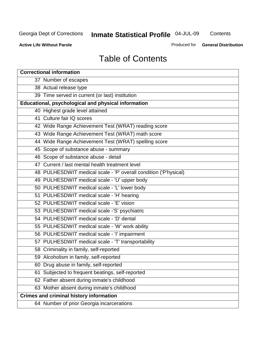**Contents** 

**Active Life Without Parole** 

Produced for **General Distribution**

## Table of Contents

| <b>Correctional information</b>                                  |
|------------------------------------------------------------------|
| 37 Number of escapes                                             |
| 38 Actual release type                                           |
| 39 Time served in current (or last) institution                  |
| Educational, psychological and physical information              |
| 40 Highest grade level attained                                  |
| 41 Culture fair IQ scores                                        |
| 42 Wide Range Achievement Test (WRAT) reading score              |
| 43 Wide Range Achievement Test (WRAT) math score                 |
| 44 Wide Range Achievement Test (WRAT) spelling score             |
| 45 Scope of substance abuse - summary                            |
| 46 Scope of substance abuse - detail                             |
| 47 Current / last mental health treatment level                  |
| 48 PULHESDWIT medical scale - 'P' overall condition ('P'hysical) |
| 49 PULHESDWIT medical scale - 'U' upper body                     |
| 50 PULHESDWIT medical scale - 'L' lower body                     |
| 51 PULHESDWIT medical scale - 'H' hearing                        |
| 52 PULHESDWIT medical scale - 'E' vision                         |
| 53 PULHESDWIT medical scale -'S' psychiatric                     |
| 54 PULHESDWIT medical scale - 'D' dental                         |
| 55 PULHESDWIT medical scale - 'W' work ability                   |
| 56 PULHESDWIT medical scale - 'I' impairment                     |
| 57 PULHESDWIT medical scale - 'T' transportability               |
| 58 Criminality in family, self-reported                          |
| 59 Alcoholism in family, self-reported                           |
| 60 Drug abuse in family, self-reported                           |
| Subjected to frequent beatings, self-reported<br>61              |
| 62 Father absent during inmate's childhood                       |
| 63 Mother absent during inmate's childhood                       |
| <b>Crimes and criminal history information</b>                   |
| 64 Number of prior Georgia incarcerations                        |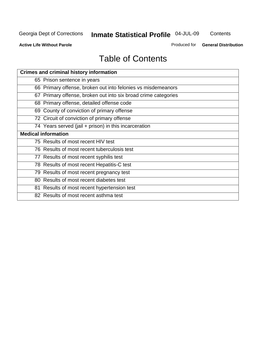**Contents** 

**Active Life Without Parole** 

Produced for **General Distribution**

## Table of Contents

| <b>Crimes and criminal history information</b>                 |
|----------------------------------------------------------------|
| 65 Prison sentence in years                                    |
| 66 Primary offense, broken out into felonies vs misdemeanors   |
| 67 Primary offense, broken out into six broad crime categories |
| 68 Primary offense, detailed offense code                      |
| 69 County of conviction of primary offense                     |
| 72 Circuit of conviction of primary offense                    |
| 74 Years served (jail + prison) in this incarceration          |
| <b>Medical information</b>                                     |
| 75 Results of most recent HIV test                             |
| 76 Results of most recent tuberculosis test                    |
| 77 Results of most recent syphilis test                        |
| 78 Results of most recent Hepatitis-C test                     |
| 79 Results of most recent pregnancy test                       |
| 80 Results of most recent diabetes test                        |
| 81 Results of most recent hypertension test                    |
| 82 Results of most recent asthma test                          |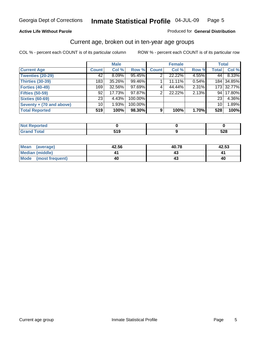#### **Active Life Without Parole**

#### Produced for **General Distribution**

#### Current age, broken out in ten-year age groups

|                          |                 | <b>Male</b> |         |              | <b>Female</b> |       |                 | <b>Total</b> |
|--------------------------|-----------------|-------------|---------|--------------|---------------|-------|-----------------|--------------|
| <b>Current Age</b>       | <b>Count</b>    | Col %       | Row %   | <b>Count</b> | Col %         | Row % | <b>Total</b>    | Col %        |
| <b>Twenties (20-29)</b>  | 42              | $8.09\%$    | 95.45%  |              | 22.22%        | 4.55% | 44              | 8.33%        |
| <b>Thirties (30-39)</b>  | 183             | 35.26%      | 99.46%  |              | 11.11%        | 0.54% |                 | 184 34.85%   |
| <b>Forties (40-49)</b>   | 169             | 32.56%      | 97.69%  | 4            | 44.44%        | 2.31% |                 | 173 32.77%   |
| <b>Fifties (50-59)</b>   | 92              | 17.73%      | 97.87%  | 2            | 22.22%        | 2.13% | 94 <sub>1</sub> | 17.80%       |
| <b>Sixties (60-69)</b>   | 23 <sub>1</sub> | 4.43%       | 100.00% |              |               |       | 23 I            | 4.36%        |
| Seventy + (70 and above) | 10              | 1.93%       | 100.00% |              |               |       | 10 <sup>1</sup> | 1.89%        |
| <b>Total Reported</b>    | 519             | 100%        | 98.30%  | 9            | 100%          | 1.70% | 528             | 100%         |

| prtea<br><b>INVE</b><br>$\sim$ |       |     |
|--------------------------------|-------|-----|
| υιαι                           | E 4 C | coo |
| _____                          | . .   | JZU |

| <b>Mean</b><br>(average) | 42.56 | 40.78 | 42.53 |
|--------------------------|-------|-------|-------|
| Median (middle)          |       |       |       |
| Mode<br>(most frequent)  | 40    |       | 40    |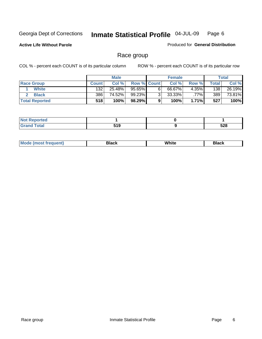**Active Life Without Parole** 

Produced for **General Distribution**

#### Race group

|                       |              | <b>Male</b> |                    |   | <b>Female</b> |          |       | <b>Total</b> |
|-----------------------|--------------|-------------|--------------------|---|---------------|----------|-------|--------------|
| <b>Race Group</b>     | <b>Count</b> | Col %       | <b>Row % Count</b> |   | Col %         | Row %    | Total | Col %        |
| <b>White</b>          | 132          | 25.48%      | $95.65\%$          | 6 | 66.67%        | $4.35\%$ | 138   | 26.19%       |
| <b>Black</b>          | 386          | 74.52%      | 99.23%             | ◠ | $33.33\%$     | $.77\%$  | 389   | 73.81%       |
| <b>Total Reported</b> | 518          | 100%        | 98.29%             |   | 100%          | $1.71\%$ | 527   | 100%         |

| <b>eported</b>  |                   |            |
|-----------------|-------------------|------------|
| rote'<br>$\sim$ | E4 C<br>,,,<br>__ | cno<br>ວ∠໐ |

| $^1$ Mo. | Rlack | White | 3lack |
|----------|-------|-------|-------|
| .        |       |       |       |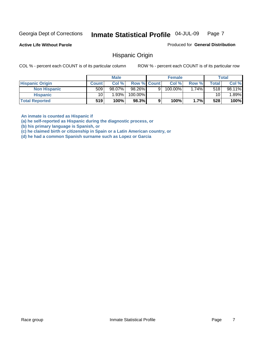**Active Life Without Parole** 

Produced for **General Distribution**

#### Hispanic Origin

COL % - percent each COUNT is of its particular column ROW % - percent each COUNT is of its particular row

|                        |              | <b>Male</b> |             |   | <b>Female</b> |         |       | <b>Total</b> |
|------------------------|--------------|-------------|-------------|---|---------------|---------|-------|--------------|
| <b>Hispanic Origin</b> | <b>Count</b> | Col %       | Row % Count |   | Col %         | Row %   | Total | Col %        |
| <b>Non Hispanic</b>    | 509          | 98.07%      | 98.26%      | 9 | 100.00%       | $.74\%$ | 518   | 98.11%       |
| <b>Hispanic</b>        | 10           | 1.93%       | 100.00%     |   |               |         | 10    | $.89\%$      |
| <b>Total Reported</b>  | 519          | 100%        | 98.3%       | 9 | 100%          | 1.7%    | 528   | 100%         |

**An inmate is counted as Hispanic if** 

**(a) he self-reported as Hispanic during the diagnostic process, or** 

**(b) his primary language is Spanish, or** 

**(c) he claimed birth or citizenship in Spain or a Latin American country, or** 

**(d) he had a common Spanish surname such as Lopez or Garcia**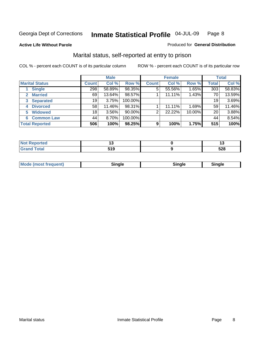#### **Active Life Without Parole**

#### Produced for **General Distribution**

#### Marital status, self-reported at entry to prison

|                                | <b>Male</b>  |          |         | <b>Female</b>  |        |        | <b>Total</b> |        |
|--------------------------------|--------------|----------|---------|----------------|--------|--------|--------------|--------|
| <b>Marital Status</b>          | <b>Count</b> | Col %    | Row %   | <b>Count</b>   | Col %  | Row %  | <b>Total</b> | Col %  |
| <b>Single</b>                  | 298          | 58.89%   | 98.35%  | $\overline{5}$ | 55.56% | 1.65%  | 303          | 58.83% |
| <b>Married</b><br>$\mathbf{2}$ | 69           | 13.64%   | 98.57%  |                | 11.11% | 1.43%  | 70           | 13.59% |
| <b>Separated</b><br>3          | 19           | 3.75%    | 100.00% |                |        |        | 19           | 3.69%  |
| <b>Divorced</b><br>4           | 58           | 11.46%   | 98.31%  |                | 11.11% | 1.69%  | 59           | 11.46% |
| <b>Widowed</b><br>5            | 18           | $3.56\%$ | 90.00%  | 2              | 22.22% | 10.00% | 20           | 3.88%  |
| <b>Common Law</b><br>6         | 44           | 8.70%    | 100.00% |                |        |        | 44           | 8.54%  |
| <b>Total Reported</b>          | 506          | 100%     | 98.25%  | 9              | 100%   | 1.75%  | 515          | 100%   |

|              | . <u>.</u>  |
|--------------|-------------|
| - - -<br>. . | - 20<br>◡▵◡ |

| <b>Mode (most frequent)</b><br>Sinale<br>≒ınale |
|-------------------------------------------------|
|-------------------------------------------------|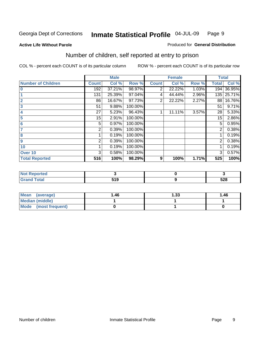#### **Active Life Without Parole**

#### Produced for **General Distribution**

## Number of children, self reported at entry to prison

|                           |                | <b>Male</b> |         |              | <b>Female</b> |       | <b>Total</b>   |        |
|---------------------------|----------------|-------------|---------|--------------|---------------|-------|----------------|--------|
| <b>Number of Children</b> | <b>Count</b>   | Col %       | Row %   | <b>Count</b> | Col %         | Row % | <b>Total</b>   | Col %  |
| $\bf{0}$                  | 192            | 37.21%      | 98.97%  | 2            | 22.22%        | 1.03% | 194            | 36.95% |
|                           | 131            | 25.39%      | 97.04%  | 4            | 44.44%        | 2.96% | 135            | 25.71% |
| $\overline{2}$            | 86             | 16.67%      | 97.73%  | 2            | 22.22%        | 2.27% | 88             | 16.76% |
| 3                         | 51             | 9.88%       | 100.00% |              |               |       | 51             | 9.71%  |
| 4                         | 27             | 5.23%       | 96.43%  |              | 11.11%        | 3.57% | 28             | 5.33%  |
| 5                         | 15             | 2.91%       | 100.00% |              |               |       | 15             | 2.86%  |
| $6\phantom{a}$            | 5              | 0.97%       | 100.00% |              |               |       | 5              | 0.95%  |
| 7                         | 2              | 0.39%       | 100.00% |              |               |       | 2              | 0.38%  |
| 8                         |                | 0.19%       | 100.00% |              |               |       |                | 0.19%  |
| 9                         | $\overline{2}$ | 0.39%       | 100.00% |              |               |       | $\overline{2}$ | 0.38%  |
| 10                        |                | 0.19%       | 100.00% |              |               |       |                | 0.19%  |
| Over 10                   | 3              | 0.58%       | 100.00% |              |               |       | 3              | 0.57%  |
| <b>Total Reported</b>     | 516            | 100%        | 98.29%  | 9            | 100%          | 1.71% | 525            | 100%   |

| <b>ortegi</b><br>.       |       |            |
|--------------------------|-------|------------|
| <b>otal</b>              | E 4 N | <b>500</b> |
| $\sim$ . $\sim$ . $\sim$ | - I - | ാ∠ഠ        |

| <b>Mean</b><br>(average) | 1.46 | 1.33 | 1.46 |
|--------------------------|------|------|------|
| <b>Median (middle)</b>   |      |      |      |
| Mode (most frequent)     |      |      |      |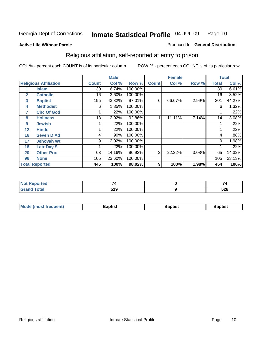#### **Active Life Without Parole**

#### Produced for **General Distribution**

## Religious affiliation, self-reported at entry to prison

|              |                              |                 | <b>Male</b> |         |                | <b>Female</b> |       |              | <b>Total</b> |
|--------------|------------------------------|-----------------|-------------|---------|----------------|---------------|-------|--------------|--------------|
|              | <b>Religious Affiliation</b> | <b>Count</b>    | Col %       | Row %   | <b>Count</b>   | Col %         | Row % | <b>Total</b> | Col %        |
|              | <b>Islam</b>                 | 30              | 6.74%       | 100.00% |                |               |       | 30           | 6.61%        |
| $\mathbf{2}$ | <b>Catholic</b>              | 16 <sub>1</sub> | 3.60%       | 100.00% |                |               |       | 16           | 3.52%        |
| 3            | <b>Baptist</b>               | 195             | 43.82%      | 97.01%  | 6              | 66.67%        | 2.99% | 201          | 44.27%       |
| 4            | <b>Methodist</b>             | 6               | 1.35%       | 100.00% |                |               |       | 6            | 1.32%        |
| 7            | <b>Chc Of God</b>            |                 | .22%        | 100.00% |                |               |       |              | .22%         |
| 8            | <b>Holiness</b>              | 13 <sub>1</sub> | 2.92%       | 92.86%  |                | 11.11%        | 7.14% | 14           | 3.08%        |
| 9            | <b>Jewish</b>                |                 | .22%        | 100.00% |                |               |       |              | .22%         |
| 12           | <b>Hindu</b>                 |                 | .22%        | 100.00% |                |               |       |              | .22%         |
| 16           | <b>Seven D Ad</b>            | 4               | .90%        | 100.00% |                |               |       | 4            | .88%         |
| 17           | <b>Jehovah Wt</b>            | 9               | 2.02%       | 100.00% |                |               |       | 9            | 1.98%        |
| 18           | <b>Latr Day S</b>            |                 | .22%        | 100.00% |                |               |       |              | .22%         |
| 20           | <b>Other Prot</b>            | 63              | 14.16%      | 96.92%  | $\overline{2}$ | 22.22%        | 3.08% | 65           | 14.32%       |
| 96           | <b>None</b>                  | 105             | 23.60%      | 100.00% |                |               |       | 105          | 23.13%       |
|              | <b>Total Reported</b>        | 445             | 100%        | 98.02%  | 9              | 100%          | 1.98% | 454          | 100%         |

| <b>Not Reported</b>              |            | -   |
|----------------------------------|------------|-----|
| <b>Total</b><br>$\mathbf{v}$ and | -40<br>- 1 | 528 |

| <b>Mode (most frequent)</b><br><b>Baptist</b><br>Baptist | Baptist |
|----------------------------------------------------------|---------|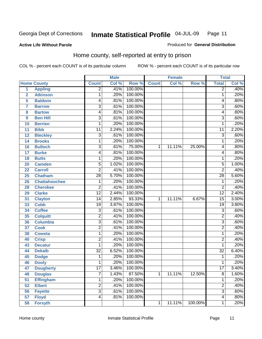#### **Active Life Without Parole**

#### Produced for **General Distribution**

#### Home county, self-reported at entry to prison

|                |                      |                 | <b>Male</b> |         |              | <b>Female</b> |         | <b>Total</b>    |       |
|----------------|----------------------|-----------------|-------------|---------|--------------|---------------|---------|-----------------|-------|
|                | <b>Home County</b>   | <b>Count</b>    | Col %       | Row %   | <b>Count</b> | Col %         | Row %   | <b>Total</b>    | Col % |
| $\overline{1}$ | <b>Appling</b>       | $\overline{2}$  | .41%        | 100.00% |              |               |         | $\overline{2}$  | .40%  |
| $\overline{2}$ | <b>Atkinson</b>      | 1               | .20%        | 100.00% |              |               |         | 1               | .20%  |
| 5              | <b>Baldwin</b>       | 4               | .81%        | 100.00% |              |               |         | 4               | .80%  |
| 7              | <b>Barrow</b>        | $\overline{3}$  | .61%        | 100.00% |              |               |         | $\overline{3}$  | .60%  |
| 8              | <b>Bartow</b>        | 4               | .81%        | 100.00% |              |               |         | 4               | .80%  |
| 9              | <b>Ben Hill</b>      | $\overline{3}$  | .61%        | 100.00% |              |               |         | $\overline{3}$  | .60%  |
| 10             | <b>Berrien</b>       | 1               | .20%        | 100.00% |              |               |         | 1               | .20%  |
| 11             | <b>Bibb</b>          | 11              | 2.24%       | 100.00% |              |               |         | 11              | 2.20% |
| 12             | <b>Bleckley</b>      | $\overline{3}$  | .61%        | 100.00% |              |               |         | $\overline{3}$  | .60%  |
| 14             | <b>Brooks</b>        | 1               | .20%        | 100.00% |              |               |         | 1               | .20%  |
| 16             | <b>Bulloch</b>       | $\overline{3}$  | .61%        | 75.00%  | 1            | 11.11%        | 25.00%  | 4               | .80%  |
| 17             | <b>Burke</b>         | 4               | .81%        | 100.00% |              |               |         | 4               | .80%  |
| 18             | <b>Butts</b>         | 1               | .20%        | 100.00% |              |               |         | 1               | .20%  |
| 20             | <b>Camden</b>        | $\overline{5}$  | 1.02%       | 100.00% |              |               |         | $\overline{5}$  | 1.00% |
| 22             | <b>Carroll</b>       | $\overline{2}$  | .41%        | 100.00% |              |               |         | $\overline{2}$  | .40%  |
| 25             | <b>Chatham</b>       | $\overline{28}$ | 5.70%       | 100.00% |              |               |         | 28              | 5.60% |
| 26             | <b>Chattahoochee</b> | 1               | .20%        | 100.00% |              |               |         | 1               | .20%  |
| 28             | <b>Cherokee</b>      | $\overline{2}$  | .41%        | 100.00% |              |               |         | $\overline{2}$  | .40%  |
| 29             | <b>Clarke</b>        | $\overline{12}$ | 2.44%       | 100.00% |              |               |         | $\overline{12}$ | 2.40% |
| 31             | <b>Clayton</b>       | 14              | 2.85%       | 93.33%  | 1            | 11.11%        | 6.67%   | $\overline{15}$ | 3.00% |
| 33             | <b>Cobb</b>          | $\overline{19}$ | 3.87%       | 100.00% |              |               |         | $\overline{19}$ | 3.80% |
| 34             | <b>Coffee</b>        | 3               | .61%        | 100.00% |              |               |         | 3               | .60%  |
| 35             | <b>Colquitt</b>      | $\overline{2}$  | .41%        | 100.00% |              |               |         | $\overline{2}$  | .40%  |
| 36             | <b>Columbia</b>      | $\overline{3}$  | .61%        | 100.00% |              |               |         | $\overline{3}$  | .60%  |
| 37             | <b>Cook</b>          | $\overline{2}$  | .41%        | 100.00% |              |               |         | $\overline{2}$  | .40%  |
| 38             | <b>Coweta</b>        | 1               | .20%        | 100.00% |              |               |         | 1               | .20%  |
| 40             | <b>Crisp</b>         | $\overline{2}$  | .41%        | 100.00% |              |               |         | $\overline{2}$  | .40%  |
| 43             | <b>Decatur</b>       | 1               | .20%        | 100.00% |              |               |         | 1               | .20%  |
| 44             | <b>Dekalb</b>        | $\overline{32}$ | 6.52%       | 100.00% |              |               |         | $\overline{32}$ | 6.40% |
| 45             | <b>Dodge</b>         | 1               | .20%        | 100.00% |              |               |         | 1               | .20%  |
| 46             | <b>Dooly</b>         | 1               | .20%        | 100.00% |              |               |         | 1               | .20%  |
| 47             | <b>Dougherty</b>     | 17              | 3.46%       | 100.00% |              |               |         | 17              | 3.40% |
| 48             | <b>Douglas</b>       | $\overline{7}$  | 1.43%       | 87.50%  | 1            | 11.11%        | 12.50%  | $\overline{8}$  | 1.60% |
| 51             | <b>Effingham</b>     | 1               | .20%        | 100.00% |              |               |         | 1               | .20%  |
| 52             | <b>Elbert</b>        | $\overline{2}$  | .41%        | 100.00% |              |               |         | $\overline{2}$  | .40%  |
| 56             | <b>Fayette</b>       | $\overline{3}$  | .61%        | 100.00% |              |               |         | $\overline{3}$  | .60%  |
| 57             | <b>Floyd</b>         | 4               | .81%        | 100.00% |              |               |         | $\overline{4}$  | .80%  |
| 58             | <b>Forsyth</b>       |                 |             |         | 1            | 11.11%        | 100.00% | 1               | .20%  |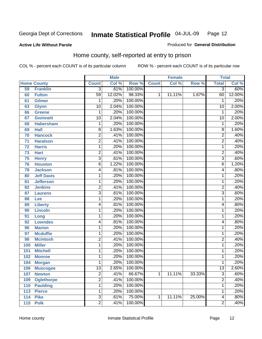#### **Active Life Without Parole**

#### Produced for **General Distribution**

#### Home county, self-reported at entry to prison

|                 |                    |                 | <b>Male</b> |         |              | <b>Female</b> |        | <b>Total</b>   |        |
|-----------------|--------------------|-----------------|-------------|---------|--------------|---------------|--------|----------------|--------|
|                 | <b>Home County</b> | <b>Count</b>    | Col %       | Row %   | <b>Count</b> | Col %         | Row %  | <b>Total</b>   | Col %  |
| 59              | <b>Franklin</b>    | $\overline{3}$  | .61%        | 100.00% |              |               |        | $\overline{3}$ | .60%   |
| 60              | <b>Fulton</b>      | $\overline{59}$ | 12.02%      | 98.33%  | 1            | 11.11%        | 1.67%  | 60             | 12.00% |
| 61              | Gilmer             | 1               | .20%        | 100.00% |              |               |        | 1              | .20%   |
| 63              | <b>Glynn</b>       | 10              | 2.04%       | 100.00% |              |               |        | 10             | 2.00%  |
| 66              | <b>Greene</b>      | 1               | .20%        | 100.00% |              |               |        | 1              | .20%   |
| 67              | <b>Gwinnett</b>    | 10              | 2.04%       | 100.00% |              |               |        | 10             | 2.00%  |
| 68              | <b>Habersham</b>   | 1               | .20%        | 100.00% |              |               |        | 1              | .20%   |
| 69              | <b>Hall</b>        | 8               | 1.63%       | 100.00% |              |               |        | 8              | 1.60%  |
| 70              | <b>Hancock</b>     | $\overline{2}$  | .41%        | 100.00% |              |               |        | 2              | .40%   |
| $\overline{71}$ | <b>Haralson</b>    | $\overline{2}$  | .41%        | 100.00% |              |               |        | $\overline{2}$ | .40%   |
| 72              | <b>Harris</b>      | $\mathbf{1}$    | .20%        | 100.00% |              |               |        | 1              | .20%   |
| 73              | <b>Hart</b>        | $\overline{2}$  | .41%        | 100.00% |              |               |        | $\overline{2}$ | .40%   |
| 75              | <b>Henry</b>       | $\overline{3}$  | .61%        | 100.00% |              |               |        | 3              | .60%   |
| 76              | <b>Houston</b>     | $\overline{6}$  | 1.22%       | 100.00% |              |               |        | 6              | 1.20%  |
| 78              | <b>Jackson</b>     | 4               | .81%        | 100.00% |              |               |        | 4              | .80%   |
| 80              | <b>Jeff Davis</b>  | 1               | .20%        | 100.00% |              |               |        | 1              | .20%   |
| 81              | <b>Jefferson</b>   | 1               | .20%        | 100.00% |              |               |        | 1              | .20%   |
| 82              | <b>Jenkins</b>     | $\overline{2}$  | .41%        | 100.00% |              |               |        | $\overline{2}$ | .40%   |
| 87              | <b>Laurens</b>     | $\overline{3}$  | .61%        | 100.00% |              |               |        | $\overline{3}$ | .60%   |
| 88              | Lee                | $\mathbf{1}$    | .20%        | 100.00% |              |               |        | 1              | .20%   |
| 89              | <b>Liberty</b>     | 4               | .81%        | 100.00% |              |               |        | 4              | .80%   |
| 90              | <b>Lincoln</b>     | $\mathbf{1}$    | .20%        | 100.00% |              |               |        | 1              | .20%   |
| 91              | Long               | $\mathbf{1}$    | .20%        | 100.00% |              |               |        | 1              | .20%   |
| 92              | <b>Lowndes</b>     | 4               | .81%        | 100.00% |              |               |        | 4              | .80%   |
| 96              | <b>Marion</b>      | 1               | .20%        | 100.00% |              |               |        | 1              | .20%   |
| 97              | <b>Mcduffie</b>    | 1               | .20%        | 100.00% |              |               |        | 1              | .20%   |
| 98              | <b>Mcintosh</b>    | $\overline{2}$  | .41%        | 100.00% |              |               |        | $\overline{2}$ | .40%   |
| 100             | <b>Miller</b>      | $\mathbf{1}$    | .20%        | 100.00% |              |               |        | 1              | .20%   |
| 101             | <b>Mitchell</b>    | $\mathbf{1}$    | .20%        | 100.00% |              |               |        | 1              | .20%   |
| 102             | <b>Monroe</b>      | $\mathbf{1}$    | .20%        | 100.00% |              |               |        | 1              | .20%   |
| 104             | <b>Morgan</b>      | 1               | .20%        | 100.00% |              |               |        | 1              | .20%   |
| 106             | <b>Muscogee</b>    | 13              | 2.65%       | 100.00% |              |               |        | 13             | 2.60%  |
| 107             | <b>Newton</b>      | $\overline{2}$  | .41%        | 66.67%  | 1            | 11.11%        | 33.33% | $\overline{3}$ | .60%   |
| 109             | <b>Oglethorpe</b>  | $\overline{2}$  | .41%        | 100.00% |              |               |        | $\overline{2}$ | .40%   |
| 110             | <b>Paulding</b>    | $\overline{1}$  | .20%        | 100.00% |              |               |        | 1              | .20%   |
| 113             | <b>Pierce</b>      | $\mathbf{1}$    | .20%        | 100.00% |              |               |        | 1              | .20%   |
| 114             | <b>Pike</b>        | $\overline{3}$  | .61%        | 75.00%  | 1            | 11.11%        | 25.00% | 4              | .80%   |
| 115             | <b>Polk</b>        | $\overline{2}$  | .41%        | 100.00% |              |               |        | $\overline{2}$ | .40%   |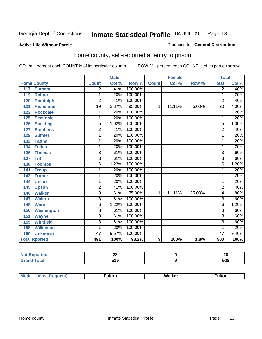#### **Active Life Without Parole**

#### Produced for **General Distribution**

#### Home county, self-reported at entry to prison

|     |                      |                         | <b>Male</b> |         |                  | <b>Female</b> |        | <b>Total</b>    |       |
|-----|----------------------|-------------------------|-------------|---------|------------------|---------------|--------|-----------------|-------|
|     | <b>Home County</b>   | <b>Count</b>            | Col %       | Row %   | <b>Count</b>     | Col %         | Row %  | <b>Total</b>    | Col % |
| 117 | <b>Putnam</b>        | $\overline{2}$          | .41%        | 100.00% |                  |               |        | $\overline{2}$  | .40%  |
| 119 | <b>Rabun</b>         | 1                       | .20%        | 100.00% |                  |               |        | 1               | .20%  |
| 120 | <b>Randolph</b>      | $\overline{2}$          | .41%        | 100.00% |                  |               |        | $\overline{2}$  | .40%  |
| 121 | <b>Richmond</b>      | 19                      | 3.87%       | 95.00%  | 1                | 11.11%        | 5.00%  | $\overline{20}$ | 4.00% |
| 122 | <b>Rockdale</b>      | 1                       | .20%        | 100.00% |                  |               |        | 1               | .20%  |
| 125 | <b>Seminole</b>      | 1                       | .20%        | 100.00% |                  |               |        | 1               | .20%  |
| 126 | <b>Spalding</b>      | $\overline{5}$          | 1.02%       | 100.00% |                  |               |        | $\overline{5}$  | 1.00% |
| 127 | <b>Stephens</b>      | $\overline{2}$          | .41%        | 100.00% |                  |               |        | $\overline{2}$  | .40%  |
| 129 | <b>Sumter</b>        | 1                       | .20%        | 100.00% |                  |               |        | 1               | .20%  |
| 132 | <b>Tattnall</b>      | 1                       | .20%        | 100.00% |                  |               |        | 1               | .20%  |
| 134 | <b>Telfair</b>       | 1                       | .20%        | 100.00% |                  |               |        | 1               | .20%  |
| 136 | <b>Thomas</b>        | $\overline{3}$          | .61%        | 100.00% |                  |               |        | $\overline{3}$  | .60%  |
| 137 | <b>Tift</b>          | $\overline{3}$          | .61%        | 100.00% |                  |               |        | $\overline{3}$  | .60%  |
| 138 | <b>Toombs</b>        | 6                       | 1.22%       | 100.00% |                  |               |        | $\overline{6}$  | 1.20% |
| 141 | <b>Troup</b>         | 1                       | .20%        | 100.00% |                  |               |        | 1               | .20%  |
| 142 | <b>Turner</b>        | 1                       | .20%        | 100.00% |                  |               |        | 1               | .20%  |
| 144 | <b>Union</b>         | 1                       | .20%        | 100.00% |                  |               |        | 1               | .20%  |
| 145 | <b>Upson</b>         | $\overline{2}$          | .41%        | 100.00% |                  |               |        | $\overline{2}$  | .40%  |
| 146 | <b>Walker</b>        | $\overline{\mathbf{3}}$ | .61%        | 75.00%  | 1                | 11.11%        | 25.00% | 4               | .80%  |
| 147 | <b>Walton</b>        | $\overline{3}$          | .61%        | 100.00% |                  |               |        | $\overline{3}$  | .60%  |
| 148 | <b>Ware</b>          | $\overline{6}$          | 1.22%       | 100.00% |                  |               |        | $\overline{6}$  | 1.20% |
| 150 | <b>Washington</b>    | $\overline{3}$          | .61%        | 100.00% |                  |               |        | $\overline{3}$  | .60%  |
| 151 | <b>Wayne</b>         | $\overline{3}$          | .61%        | 100.00% |                  |               |        | $\overline{3}$  | .60%  |
| 155 | <b>Whitfield</b>     | $\overline{3}$          | .61%        | 100.00% |                  |               |        | $\overline{3}$  | .60%  |
| 158 | <b>Wilkinson</b>     | 1                       | .20%        | 100.00% |                  |               |        | 1               | .20%  |
| 160 | <b>Unknown</b>       | 47                      | 9.57%       | 100.00% |                  |               |        | 47              | 9.40% |
|     | <b>Total Rported</b> | 491                     | 100%        | 98.2%   | $\boldsymbol{9}$ | 100%          | 1.8%   | 500             | 100%  |

| тео         | ΔU       | ົ<br>ZO    |
|-------------|----------|------------|
| <b>otal</b> | 640<br>, | につの<br>ว∠๐ |

| M<br>_____ | W |  |
|------------|---|--|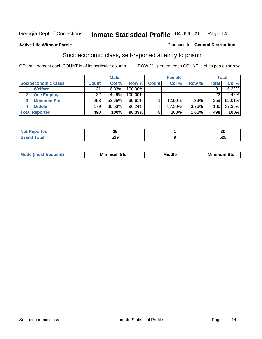#### **Active Life Without Parole**

#### Produced for **General Distribution**

#### Socioeconomic class, self-reported at entry to prison

|                            |                  | <b>Male</b> |            |              | <b>Female</b> |       |       | <b>Total</b> |
|----------------------------|------------------|-------------|------------|--------------|---------------|-------|-------|--------------|
| <b>Socioeconomic Class</b> | Count            | Col %       | Row %      | <b>Count</b> | Col %         | Row % | Total | Col %        |
| <b>Welfare</b>             | 31               | 6.33%       | $100.00\%$ |              |               |       | 31    | 6.22%        |
| <b>Occ Employ</b>          | 22               | 4.49%       | $100.00\%$ |              |               |       | 22    | 4.42%        |
| <b>Minimum Std</b>         | 258 <sub>1</sub> | 52.65%      | 99.61%     |              | 12.50%        | .39%  | 259   | 52.01%       |
| <b>Middle</b>              | 179              | 36.53%      | 96.24%     |              | 87.50%        | 3.76% | 186   | 37.35%       |
| <b>Total Reported</b>      | 490              | 100%        | 98.39%     |              | 100%          | 1.61% | 498   | 100%         |

| .                 | nr.  | $\sim$     |
|-------------------|------|------------|
| iteto.            | - 9  | υc         |
| $T \cap 4 \cap T$ | 64 O | <b>EOO</b> |
| υιαι              | JIJ  | ว∠๐        |

| .<br>___ |
|----------|
|----------|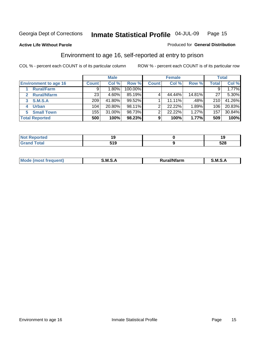Produced for **General Distribution**

#### **Active Life Without Parole**

#### Environment to age 16, self-reported at entry to prison

|                                      |              | <b>Male</b> |         |              | <b>Female</b> |        |              | <b>Total</b> |
|--------------------------------------|--------------|-------------|---------|--------------|---------------|--------|--------------|--------------|
| <b>Environment to age 16</b>         | <b>Count</b> | Col %       | Row %   | <b>Count</b> | Col %         | Row %  | <b>Total</b> | Col %        |
| <b>Rural/Farm</b>                    | 9            | $1.80\%$    | 100.00% |              |               |        |              | 1.77%        |
| <b>Rural/Nfarm</b><br>$\overline{2}$ | 23           | 4.60%       | 85.19%  |              | 44.44%        | 14.81% | 27           | 5.30%        |
| <b>S.M.S.A</b><br>3                  | 209          | 41.80%      | 99.52%  |              | 11.11%        | .48%   | 210          | 41.26%       |
| <b>Urban</b><br>4                    | 104          | 20.80%      | 98.11%  |              | 22.22%        | 1.89%  | 106          | 20.83%       |
| <b>Small Town</b><br>5.              | 155          | 31.00%      | 98.73%  | ົ            | 22.22%        | 1.27%  | 157          | 30.84%       |
| <b>Total Reported</b>                | 500          | 100%        | 98.23%  | 9            | 100%          | 1.77%  | 509          | 100%         |

| <b>rted</b><br>Not    |     |     |
|-----------------------|-----|-----|
| <b>Total</b><br>Grand | 519 | 528 |

| Mo<br><b>CONTRACTOR</b><br>. M S<br>M<br>---<br>Nfarn<br>.<br>______<br>______ |  |  |
|--------------------------------------------------------------------------------|--|--|
|                                                                                |  |  |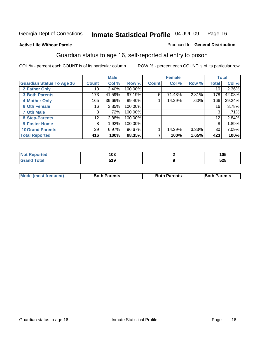Produced for **General Distribution**

#### **Active Life Without Parole**

#### Guardian status to age 16, self-reported at entry to prison

|                                  |                 | <b>Male</b> |         |              | <b>Female</b> |       |              | <b>Total</b> |
|----------------------------------|-----------------|-------------|---------|--------------|---------------|-------|--------------|--------------|
| <b>Guardian Status To Age 16</b> | <b>Count</b>    | Col %       | Row %   | <b>Count</b> | Col %         | Row % | <b>Total</b> | Col %        |
| 2 Father Only                    | 10              | 2.40%       | 100.00% |              |               |       | 10           | 2.36%        |
| <b>3 Both Parents</b>            | 173             | 41.59%      | 97.19%  | 5            | 71.43%        | 2.81% | 178          | 42.08%       |
| <b>4 Mother Only</b>             | 165             | 39.66%      | 99.40%  |              | 14.29%        | .60%  | 166          | 39.24%       |
| <b>6 Oth Female</b>              | 16              | 3.85%       | 100.00% |              |               |       | 16           | 3.78%        |
| <b>7 Oth Male</b>                | 3               | .72%        | 100.00% |              |               |       | 3            | .71%         |
| 8 Step-Parents                   | 12 <sub>1</sub> | 2.88%       | 100.00% |              |               |       | 12           | 2.84%        |
| <b>9 Foster Home</b>             | 8               | 1.92%       | 100.00% |              |               |       | 8            | 1.89%        |
| <b>10 Grand Parents</b>          | 29              | 6.97%       | 96.67%  |              | 14.29%        | 3.33% | 30           | 7.09%        |
| <b>Total Reported</b>            | 416             | 100%        | 98.35%  |              | 100%          | 1.65% | 423          | 100%         |

| $\sim$<br>vu | 105 |
|--------------|-----|
| 10.<br>JIJ   | 528 |

| Mode (most frequent) | <b>Both Parents</b> | <b>Both Parents</b> | <b>IBoth Parents</b> |
|----------------------|---------------------|---------------------|----------------------|
|                      |                     |                     |                      |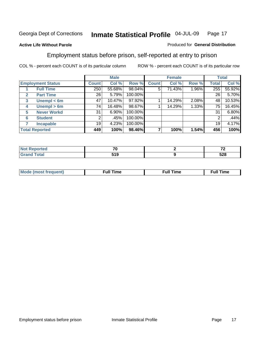#### **Active Life Without Parole**

#### Produced for **General Distribution**

#### Employment status before prison, self-reported at entry to prison

|              |                          |              | <b>Male</b> |         |              | <b>Female</b> |       |       | <b>Total</b> |
|--------------|--------------------------|--------------|-------------|---------|--------------|---------------|-------|-------|--------------|
|              | <b>Employment Status</b> | <b>Count</b> | Col %       | Row %   | <b>Count</b> | Col %         | Row % | Total | Col %        |
|              | <b>Full Time</b>         | 250          | 55.68%      | 98.04%  | 5            | 71.43%        | 1.96% | 255   | 55.92%       |
| $\mathbf{2}$ | <b>Part Time</b>         | 26           | 5.79%       | 100.00% |              |               |       | 26    | 5.70%        |
| 3            | Unempl $<$ 6m            | 47           | 10.47%      | 97.92%  |              | 14.29%        | 2.08% | 48    | 10.53%       |
| 4            | Unempl > 6m              | 74           | 16.48%      | 98.67%  |              | 14.29%        | 1.33% | 75    | 16.45%       |
| 5            | <b>Never Workd</b>       | 31           | 6.90%       | 100.00% |              |               |       | 31    | 6.80%        |
| 6            | <b>Student</b>           | 2            | .45%        | 100.00% |              |               |       | 2     | .44%         |
|              | <b>Incapable</b>         | 19           | 4.23%       | 100.00% |              |               |       | 19    | 4.17%        |
|              | <b>Total Reported</b>    | 449          | 100%        | 98.46%  |              | 100%          | 1.54% | 456   | 100%         |

| тео-                     | --<br>'U   | $\sim$ |
|--------------------------|------------|--------|
| <b>Coto</b> "<br>_______ | 510<br>JIJ | 528    |

| <b>M</b> ດ | the contract of the contract of the contract of the contract of the contract of the contract of the contract of | , ull i<br>ıme | ïme<br>uı<br>$\sim$ $\sim$ $\sim$ $\sim$ $\sim$ |
|------------|-----------------------------------------------------------------------------------------------------------------|----------------|-------------------------------------------------|
|            |                                                                                                                 |                |                                                 |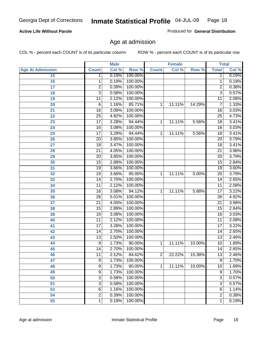#### **Active Life Without Parole**

Produced for **General Distribution**

#### Age at admission

|                         |                 | <b>Male</b> |         |              | <b>Female</b> |        |                 | <b>Total</b> |
|-------------------------|-----------------|-------------|---------|--------------|---------------|--------|-----------------|--------------|
| <b>Age At Admission</b> | <b>Count</b>    | Col %       | Row %   | <b>Count</b> | Col %         | Row %  | <b>Total</b>    | Col %        |
| 15                      | 1               | 0.19%       | 100.00% |              |               |        | 1               | 0.19%        |
| 16                      | 1               | 0.19%       | 100.00% |              |               |        | $\overline{1}$  | 0.19%        |
| 17                      | $\overline{2}$  | 0.39%       | 100.00% |              |               |        | 2               | 0.38%        |
| 18                      | 3               | 0.58%       | 100.00% |              |               |        | $\overline{3}$  | 0.57%        |
| 19                      | 11              | 2.12%       | 100.00% |              |               |        | 11              | 2.08%        |
| 20                      | 6               | 1.16%       | 85.71%  | 1            | 11.11%        | 14.29% | 7               | 1.33%        |
| 21                      | $\overline{16}$ | 3.08%       | 100.00% |              |               |        | $\overline{16}$ | 3.03%        |
| 22                      | $\overline{25}$ | 4.82%       | 100.00% |              |               |        | $\overline{25}$ | 4.73%        |
| 23                      | $\overline{17}$ | 3.28%       | 94.44%  | 1            | 11.11%        | 5.56%  | $\overline{18}$ | 3.41%        |
| 24                      | $\overline{16}$ | 3.08%       | 100.00% |              |               |        | 16              | 3.03%        |
| 25                      | $\overline{17}$ | 3.28%       | 94.44%  | 1            | 11.11%        | 5.56%  | $\overline{18}$ | 3.41%        |
| 26                      | $\overline{20}$ | 3.85%       | 100.00% |              |               |        | $\overline{20}$ | 3.79%        |
| 27                      | $\overline{18}$ | 3.47%       | 100.00% |              |               |        | $\overline{18}$ | 3.41%        |
| 28                      | $\overline{21}$ | 4.05%       | 100.00% |              |               |        | $\overline{21}$ | 3.98%        |
| 29                      | $\overline{20}$ | 3.85%       | 100.00% |              |               |        | $\overline{20}$ | 3.79%        |
| 30                      | $\overline{15}$ | 2.89%       | 100.00% |              |               |        | $\overline{15}$ | 2.84%        |
| 31                      | $\overline{19}$ | 3.66%       | 100.00% |              |               |        | $\overline{19}$ | 3.60%        |
| 32                      | 19              | 3.66%       | 95.00%  | 1            | 11.11%        | 5.00%  | 20              | 3.79%        |
| 33                      | $\overline{14}$ | 2.70%       | 100.00% |              |               |        | $\overline{14}$ | 2.65%        |
| 34                      | $\overline{11}$ | 2.12%       | 100.00% |              |               |        | 11              | 2.08%        |
| 35                      | $\overline{16}$ | 3.08%       | 94.12%  | 1            | 11.11%        | 5.88%  | 17              | 3.22%        |
| 36                      | $\overline{26}$ | 5.01%       | 100.00% |              |               |        | 26              | 4.92%        |
| 37                      | $\overline{21}$ | 4.05%       | 100.00% |              |               |        | $\overline{21}$ | 3.98%        |
| 38                      | $\overline{15}$ | 2.89%       | 100.00% |              |               |        | $\overline{15}$ | 2.84%        |
| 39                      | $\overline{16}$ | 3.08%       | 100.00% |              |               |        | $\overline{16}$ | 3.03%        |
| 40                      | $\overline{11}$ | 2.12%       | 100.00% |              |               |        | 11              | 2.08%        |
| 41                      | $\overline{17}$ | 3.28%       | 100.00% |              |               |        | 17              | 3.22%        |
| 42                      | 14              | 2.70%       | 100.00% |              |               |        | 14              | 2.65%        |
| 43                      | $\overline{13}$ | 2.50%       | 100.00% |              |               |        | $\overline{13}$ | 2.46%        |
| 44                      | 9               | 1.73%       | 90.00%  | 1            | 11.11%        | 10.00% | 10              | 1.89%        |
| 45                      | 14              | 2.70%       | 100.00% |              |               |        | 14              | 2.65%        |
| 46                      | 11              | 2.12%       | 84.62%  | 2            | 22.22%        | 15.38% | 13              | 2.46%        |
| 47                      | $\overline{9}$  | 1.73%       | 100.00% |              |               |        | $\overline{9}$  | 1.70%        |
| 48                      | 9               | 1.73%       | 90.00%  | 1            | 11.11%        | 10.00% | 10              | 1.89%        |
| 49                      | 9               | 1.73%       | 100.00% |              |               |        | $\overline{9}$  | 1.70%        |
| 50                      | 3               | 0.58%       | 100.00% |              |               |        | 3               | 0.57%        |
| 51                      | 3               | 0.58%       | 100.00% |              |               |        | 3               | 0.57%        |
| 52                      | 6               | 1.16%       | 100.00% |              |               |        | 6               | 1.14%        |
| 54                      | $\overline{2}$  | 0.39%       | 100.00% |              |               |        | $\overline{2}$  | 0.38%        |
| 55                      | 1               | 0.19%       | 100.00% |              |               |        | $\mathbf{1}$    | 0.19%        |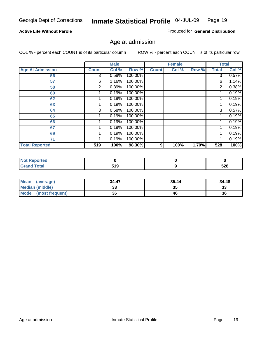#### **Active Life Without Parole**

Produced for **General Distribution**

#### Age at admission

|                         |              | <b>Male</b> |         |              | <b>Female</b> |       |                | <b>Total</b> |
|-------------------------|--------------|-------------|---------|--------------|---------------|-------|----------------|--------------|
| <b>Age At Admission</b> | <b>Count</b> | Col %       | Row %   | <b>Count</b> | Col %         | Row % | <b>Total</b>   | Col %        |
| 56                      | 3            | 0.58%       | 100.00% |              |               |       | 3              | 0.57%        |
| 57                      | 6            | 1.16%       | 100.00% |              |               |       | 6              | 1.14%        |
| 58                      | 2            | 0.39%       | 100.00% |              |               |       | $\overline{2}$ | 0.38%        |
| 60                      |              | 0.19%       | 100.00% |              |               |       |                | 0.19%        |
| 62                      |              | 0.19%       | 100.00% |              |               |       |                | 0.19%        |
| 63                      |              | 0.19%       | 100.00% |              |               |       |                | 0.19%        |
| 64                      | 3            | 0.58%       | 100.00% |              |               |       | 3              | 0.57%        |
| 65                      |              | 0.19%       | 100.00% |              |               |       |                | 0.19%        |
| 66                      |              | 0.19%       | 100.00% |              |               |       |                | 0.19%        |
| 67                      |              | 0.19%       | 100.00% |              |               |       |                | 0.19%        |
| 69                      |              | 0.19%       | 100.00% |              |               |       | 1              | 0.19%        |
| 71                      |              | 0.19%       | 100.00% |              |               |       |                | 0.19%        |
| <b>Total Reported</b>   | 519          | 100%        | 98.30%  | 9            | 100%          | 1.70% | 528            | 100%         |

| <b>rted</b>    |                    |     |
|----------------|--------------------|-----|
| `otal<br>_____ | E40<br>JIJ<br>$ -$ | 528 |

| <b>Mean</b><br>(average)       | 34.47 | 35.44 | 34.48    |
|--------------------------------|-------|-------|----------|
| <b>Median (middle)</b>         |       | 35    | າາ<br>აა |
| <b>Mode</b><br>(most frequent) | 36    | 46    | 36       |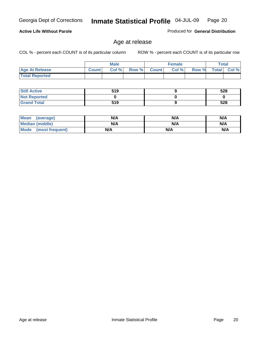COL % - percent each COUNT is of its particular column ROW % - percent each COUNT is of its particular row

|                       |              | <b>Male</b> |       |              | <b>Female</b> |       |              | <b>Total</b> |
|-----------------------|--------------|-------------|-------|--------------|---------------|-------|--------------|--------------|
| <b>Age At Release</b> | <b>Count</b> | Col %       | Row % | <b>Count</b> | Col%          | Row % | <b>Total</b> | Col %        |
| <b>Total Reported</b> |              |             |       |              |               |       |              |              |

Age at release

| <b>Still Active</b> | 519 | 528 |
|---------------------|-----|-----|
| <b>Not Reported</b> |     |     |
| <b>Grand Total</b>  | 519 | 528 |

| Mean<br>(average)      | N/A | N/A | N/A |
|------------------------|-----|-----|-----|
| <b>Median (middle)</b> | N/A | N/A | N/A |
| Mode (most frequent)   | N/A | N/A | N/A |

#### **Active Life Without Parole**

Produced for **General Distribution**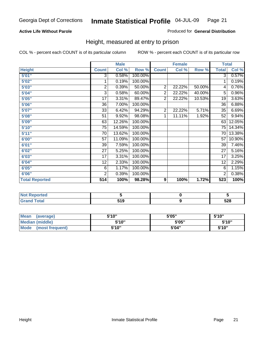#### **Active Life Without Parole**

#### Produced for **General Distribution**

#### Height, measured at entry to prison

|                       |                 | <b>Male</b> |         |                | <b>Female</b> |        | <b>Total</b>    |        |
|-----------------------|-----------------|-------------|---------|----------------|---------------|--------|-----------------|--------|
| <b>Height</b>         | <b>Count</b>    | Col %       | Row %   | <b>Count</b>   | Col %         | Row %  | <b>Total</b>    | Col %  |
| 5'01''                | $\overline{3}$  | 0.58%       | 100.00% |                |               |        | 3 <sup>1</sup>  | 0.57%  |
| 5'02"                 | 1               | 0.19%       | 100.00% |                |               |        | 1               | 0.19%  |
| 5'03"                 | 2               | 0.39%       | 50.00%  | $\overline{c}$ | 22.22%        | 50.00% | 4               | 0.76%  |
| 5'04"                 | 3               | 0.58%       | 60.00%  | $\overline{2}$ | 22.22%        | 40.00% | 5               | 0.96%  |
| 5'05"                 | 17              | 3.31%       | 89.47%  | $\overline{2}$ | 22.22%        | 10.53% | 19              | 3.63%  |
| 5'06"                 | 36              | 7.00%       | 100.00% |                |               |        | $\overline{36}$ | 6.88%  |
| 5'07''                | 33              | 6.42%       | 94.29%  | $\overline{2}$ | 22.22%        | 5.71%  | 35              | 6.69%  |
| 5'08"                 | $\overline{51}$ | 9.92%       | 98.08%  | 1              | 11.11%        | 1.92%  | $\overline{52}$ | 9.94%  |
| 5'09"                 | 63              | 12.26%      | 100.00% |                |               |        | 63              | 12.05% |
| 5'10''                | 75              | 14.59%      | 100.00% |                |               |        | 75              | 14.34% |
| 5'11''                | 70              | 13.62%      | 100.00% |                |               |        | 70              | 13.38% |
| 6'00"                 | 57              | 11.09%      | 100.00% |                |               |        | 57              | 10.90% |
| 6'01''                | 39              | 7.59%       | 100.00% |                |               |        | 39              | 7.46%  |
| 6'02''                | 27              | 5.25%       | 100.00% |                |               |        | 27              | 5.16%  |
| 6'03"                 | 17              | 3.31%       | 100.00% |                |               |        | 17              | 3.25%  |
| 6'04"                 | 12              | 2.33%       | 100.00% |                |               |        | 12              | 2.29%  |
| 6'05"                 | 6               | 1.17%       | 100.00% |                |               |        | 6               | 1.15%  |
| 6'06"                 | $\overline{2}$  | 0.39%       | 100.00% |                |               |        | 2               | 0.38%  |
| <b>Total Reported</b> | 514             | 100%        | 98.28%  | 9              | 100%          | 1.72%  | 523             | 100%   |

| oorted<br>N6                            |                      |            |
|-----------------------------------------|----------------------|------------|
| $\sim$ $\sim$ $\sim$<br>$\sim$<br>_____ | 64 O<br><u>J I J</u> | EOO<br>ວ∠໐ |

| <b>Mean</b><br>(average)       | 5'10" | 5'05" | 5'10" |
|--------------------------------|-------|-------|-------|
| Median (middle)                | 5'10" | 5'05" | 5'10" |
| <b>Mode</b><br>(most frequent) | 5'10" | 5'04" | 5'10" |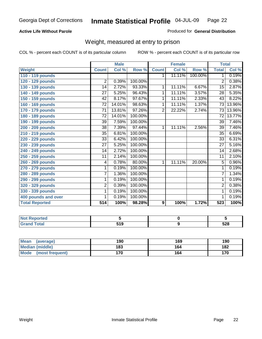#### **Active Life Without Parole**

#### Produced for **General Distribution**

#### Weight, measured at entry to prison

|                       |                 | <b>Male</b> |         |                  | <b>Female</b> |         | <b>Total</b>    |        |
|-----------------------|-----------------|-------------|---------|------------------|---------------|---------|-----------------|--------|
| <b>Weight</b>         | <b>Count</b>    | Col %       | Row %   | <b>Count</b>     | Col %         | Row %   | <b>Total</b>    | Col %  |
| 110 - 119 pounds      |                 |             |         | $\mathbf 1$      | 11.11%        | 100.00% | 1               | 0.19%  |
| 120 - 129 pounds      | $\overline{2}$  | 0.39%       | 100.00% |                  |               |         | $\overline{2}$  | 0.38%  |
| 130 - 139 pounds      | 14              | 2.72%       | 93.33%  | 1                | 11.11%        | 6.67%   | 15              | 2.87%  |
| 140 - 149 pounds      | 27              | 5.25%       | 96.43%  | 1                | 11.11%        | 3.57%   | 28              | 5.35%  |
| 150 - 159 pounds      | 42              | 8.17%       | 97.67%  | 1                | 11.11%        | 2.33%   | 43              | 8.22%  |
| 160 - 169 pounds      | $\overline{72}$ | 14.01%      | 98.63%  | 1                | 11.11%        | 1.37%   | $\overline{73}$ | 13.96% |
| 170 - 179 pounds      | $\overline{71}$ | 13.81%      | 97.26%  | $\overline{2}$   | 22.22%        | 2.74%   | $\overline{73}$ | 13.96% |
| 180 - 189 pounds      | $\overline{72}$ | 14.01%      | 100.00% |                  |               |         | $\overline{72}$ | 13.77% |
| 190 - 199 pounds      | 39              | 7.59%       | 100.00% |                  |               |         | 39              | 7.46%  |
| 200 - 209 pounds      | 38              | 7.39%       | 97.44%  | 1                | 11.11%        | 2.56%   | 39              | 7.46%  |
| 210 - 219 pounds      | 35              | 6.81%       | 100.00% |                  |               |         | $\overline{35}$ | 6.69%  |
| 220 - 229 pounds      | 33              | 6.42%       | 100.00% |                  |               |         | $\overline{33}$ | 6.31%  |
| 230 - 239 pounds      | 27              | 5.25%       | 100.00% |                  |               |         | 27              | 5.16%  |
| 240 - 249 pounds      | $\overline{14}$ | 2.72%       | 100.00% |                  |               |         | $\overline{14}$ | 2.68%  |
| 250 - 259 pounds      | 11              | 2.14%       | 100.00% |                  |               |         | $\overline{11}$ | 2.10%  |
| 260 - 269 pounds      | 4               | 0.78%       | 80.00%  | $\mathbf 1$      | 11.11%        | 20.00%  | $\overline{5}$  | 0.96%  |
| 270 - 279 pounds      | 1               | 0.19%       | 100.00% |                  |               |         | 1               | 0.19%  |
| 280 - 289 pounds      | 7               | 1.36%       | 100.00% |                  |               |         | $\overline{7}$  | 1.34%  |
| 290 - 299 pounds      | 1               | 0.19%       | 100.00% |                  |               |         | 1               | 0.19%  |
| 320 - 329 pounds      | 2               | 0.39%       | 100.00% |                  |               |         | $\overline{2}$  | 0.38%  |
| 330 - 339 pounds      | 1               | 0.19%       | 100.00% |                  |               |         | 1               | 0.19%  |
| 400 pounds and over   | 1               | 0.19%       | 100.00% |                  |               |         | 1               | 0.19%  |
| <b>Total Reported</b> | 514             | 100%        | 98.28%  | $\boldsymbol{9}$ | 100%          | 1.72%   | 523             | 100%   |

| <b>Not Reported</b>      |      |     |
|--------------------------|------|-----|
| <b>otal</b>              | E4 O | cno |
| $\sim$ . $\sim$ . $\sim$ | . .  | ว∠๐ |

| <b>Mean</b><br>(average)       | 190 | 169 | 190 |
|--------------------------------|-----|-----|-----|
| <b>Median (middle)</b>         | 183 | 164 | 182 |
| <b>Mode</b><br>(most frequent) | 170 | 164 | 170 |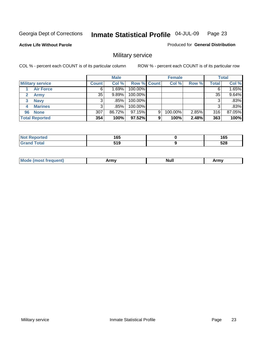**Active Life Without Parole** 

Produced for **General Distribution**

## Military service

|                         |              | <b>Male</b> |             |   | <b>Female</b> |          |              | <b>Total</b> |
|-------------------------|--------------|-------------|-------------|---|---------------|----------|--------------|--------------|
| <b>Military service</b> | <b>Count</b> | Col %       | Row % Count |   | Col %         | Row %    | <b>Total</b> | Col %        |
| <b>Air Force</b>        | 6            | 1.69%       | 100.00%     |   |               |          | 6            | 1.65%        |
| <b>Army</b>             | 35           | 9.89%       | 100.00%     |   |               |          | 35           | 9.64%        |
| <b>Navy</b><br>3        |              | .85%        | 100.00%     |   |               |          | 3            | .83%         |
| <b>Marines</b><br>4     | 3            | .85%        | 100.00%     |   |               |          | 3            | .83%         |
| 96 None                 | 307          | 86.72%      | 97.15%      | 9 | 100.00%       | $2.85\%$ | 316          | 87.05%       |
| <b>Total Reported</b>   | 354          | 100%        | 97.52%      | 9 | 100%          | 2.48%    | 363          | 100%         |

| د د الم<br>тео | 1 C C<br>⊍ט<br>__ | 165<br>___ |
|----------------|-------------------|------------|
| Cotot          | 510<br>JIJ        | 528        |

| M<br><b>IVUII</b><br>.<br>. |
|-----------------------------|
|-----------------------------|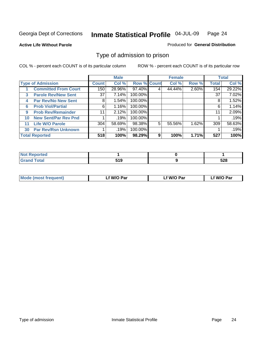#### **Active Life Without Parole**

#### Produced for **General Distribution**

#### Type of admission to prison

|    |                             |                 | <b>Male</b> |                    |   | <b>Female</b> |       |              | <b>Total</b> |
|----|-----------------------------|-----------------|-------------|--------------------|---|---------------|-------|--------------|--------------|
|    | <b>Type of Admission</b>    | <b>Count</b>    | Col %       | <b>Row % Count</b> |   | Col %         | Row % | <b>Total</b> | Col %        |
|    | <b>Committed From Court</b> | 150             | 28.96%      | 97.40%             | 4 | 44.44%        | 2.60% | 154          | 29.22%       |
| 3  | <b>Parole Rev/New Sent</b>  | 37 <sup>1</sup> | 7.14%       | 100.00%            |   |               |       | 37           | 7.02%        |
| 4  | <b>Par Rev/No New Sent</b>  | 8               | 1.54%       | 100.00%            |   |               |       | 8            | 1.52%        |
| 6  | <b>Prob Viol/Partial</b>    | 6               | 1.16%       | 100.00%            |   |               |       | 6            | 1.14%        |
| 9  | <b>Prob Rev/Remainder</b>   | 11              | 2.12%       | 100.00%            |   |               |       | 11           | 2.09%        |
| 10 | <b>New Sent/Par Rev Pnd</b> |                 | .19%        | 100.00%            |   |               |       |              | .19%         |
| 11 | <b>Life W/O Parole</b>      | 304             | 58.69%      | 98.38%             | 5 | 55.56%        | 1.62% | 309          | 58.63%       |
| 30 | <b>Par Rev/Rsn Unknown</b>  |                 | .19%        | 100.00%            |   |               |       |              | .19%         |
|    | <b>Total Reported</b>       | 518             | 100%        | 98.29%             | 9 | 100%          | 1.71% | 527          | 100%         |

| <b>Reported</b><br>NOT       |               |     |
|------------------------------|---------------|-----|
| <b>Total</b><br><b>Grand</b> | E4 N<br>J I J | 528 |

| Mode (most frequent) | Lf W/O Par | Lf W/O Par | f W/O Par |
|----------------------|------------|------------|-----------|
|                      |            |            |           |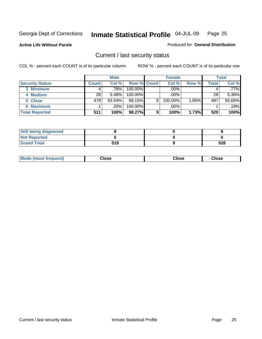**Active Life Without Parole** 

Produced for **General Distribution**

#### Current / last security status

|                        |         | <b>Male</b> |                    |   | <b>Female</b> |          |       | <b>Total</b> |
|------------------------|---------|-------------|--------------------|---|---------------|----------|-------|--------------|
| <b>Security Status</b> | Count l | Col %       | <b>Row % Count</b> |   | Col %         | Row %    | Total | Col %        |
| 3 Minimum              |         | $.78\%$     | $100.00\%$         |   | .00%          |          |       | $.77\%$      |
| 4 Medium               | 28      | 5.48%       | $100.00\%$         |   | $.00\%$       |          | 28    | 5.38%        |
| 5 Close                | 478     | $93.54\%$   | 98.15%             | 9 | 100.00%       | $1.85\%$ | 487   | 93.65%       |
| 6 Maximum              |         | .20%        | 100.00%            |   | .00%          |          |       | .19%         |
| <b>Total Reported</b>  | 511     | 100%        | 98.27%             | 9 | 100%          | 1.73%    | 520   | 100%         |

| <b>Still being diagnosed</b> |     |     |
|------------------------------|-----|-----|
| <b>Not Reported</b>          |     |     |
| <b>Grand Total</b>           | 519 | 528 |

|  | Mo<br>frequent)<br>יצניות ו | Close<br>. | ∵lose<br>. | <b>OSE</b><br>. |
|--|-----------------------------|------------|------------|-----------------|
|--|-----------------------------|------------|------------|-----------------|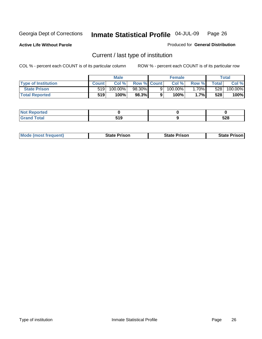**Active Life Without Parole** 

Produced for **General Distribution**

## Current / last type of institution

|                            |              | <b>Male</b> |                    |    | <b>Female</b> |                       |         | Total   |
|----------------------------|--------------|-------------|--------------------|----|---------------|-----------------------|---------|---------|
| <b>Type of Institution</b> | <b>Count</b> | Col%        | <b>Row % Count</b> |    | Col %         | Row %I                | Total I | Col %   |
| <b>State Prison</b>        | 519          | 100.00%」    | 98.30%             | 9. | $100.00\%$    | $1.70\%$              | 528     | 100.00% |
| <b>Total Reported</b>      | 519          | 100%        | 98.3%              |    | 100%          | $.7\%$ $\blacksquare$ | 528     | 100%    |

| NOT<br>oortea<br>NGI<br>$\sim$ |                     |            |
|--------------------------------|---------------------|------------|
| <b>otal</b>                    | E 4 C<br>.<br>- - - | cno<br>ວ∠o |

|  | <b>Mode (most frequent)</b> | State Prison | <b>State Prison</b> | <b>State Prison</b> |
|--|-----------------------------|--------------|---------------------|---------------------|
|--|-----------------------------|--------------|---------------------|---------------------|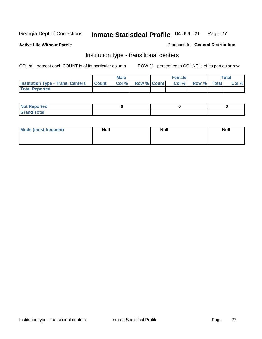**Active Life Without Parole** 

Produced for **General Distribution**

#### Institution type - transitional centers

|                                                | Male  |                    | <b>Female</b> |             | <b>Total</b> |
|------------------------------------------------|-------|--------------------|---------------|-------------|--------------|
| <b>Institution Type - Trans. Centers Count</b> | Col % | <b>Row % Count</b> | Col %         | Row % Total | Col %        |
| <b>Total Reported</b>                          |       |                    |               |             |              |

| rtea<br>20 NGL 2<br>  |  |  |
|-----------------------|--|--|
| into!<br>---<br>_____ |  |  |

| Mode (most frequent) | <b>Null</b> | <b>Null</b> | <b>Null</b> |
|----------------------|-------------|-------------|-------------|
|                      |             |             |             |
|                      |             |             |             |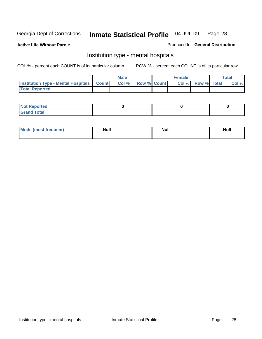**Active Life Without Parole** 

Produced for **General Distribution**

#### Institution type - mental hospitals

|                                                  | <b>Male</b> |                    | <b>Female</b> |                   | <b>Total</b> |
|--------------------------------------------------|-------------|--------------------|---------------|-------------------|--------------|
| <b>Institution Type - Mental Hospitals Count</b> | Col%        | <b>Row % Count</b> |               | Col % Row % Total | Col %        |
| <b>Total Reported</b>                            |             |                    |               |                   |              |

| <b>Not Reported</b> |  |  |
|---------------------|--|--|
| <b>Fotal</b><br>Cro |  |  |

| Mode (most frequent) | <b>Null</b> | <b>Null</b> | <b>Null</b> |
|----------------------|-------------|-------------|-------------|
|                      |             |             |             |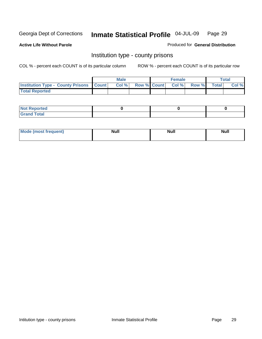**Active Life Without Parole** 

Produced for **General Distribution**

#### Institution type - county prisons

|                                                    | <b>Male</b> |  | <b>Female</b>            |              |       | Total |
|----------------------------------------------------|-------------|--|--------------------------|--------------|-------|-------|
| <b>Institution Type - County Prisons   Count  </b> | Col %       |  | <b>Row % Count Col %</b> | <b>Row %</b> | Total | Col % |
| <b>Total Reported</b>                              |             |  |                          |              |       |       |

| <b>Not</b><br><b>Reported</b> |  |  |
|-------------------------------|--|--|
| <b>Grand Total</b>            |  |  |

| Mode (m<br>frequent):<br>nnst | Moll<br>чин.<br>_____ | <b>Moll</b> | <b>Null</b> |
|-------------------------------|-----------------------|-------------|-------------|
|                               |                       |             |             |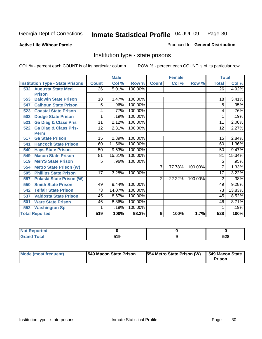#### **Active Life Without Parole**

#### Produced for **General Distribution**

#### Institution type - state prisons

|     |                                         | <b>Male</b>  |        | <b>Female</b> |                |        | <b>Total</b> |              |        |
|-----|-----------------------------------------|--------------|--------|---------------|----------------|--------|--------------|--------------|--------|
|     | <b>Institution Type - State Prisons</b> | <b>Count</b> | Col %  | Row %         | <b>Count</b>   | Col %  | Row %        | <b>Total</b> | Col %  |
|     | 532 Augusta State Med.                  | 26           | 5.01%  | 100.00%       |                |        |              | 26           | 4.92%  |
|     | <b>Prison</b>                           |              |        |               |                |        |              |              |        |
| 553 | <b>Baldwin State Prison</b>             | 18           | 3.47%  | 100.00%       |                |        |              | 18           | 3.41%  |
| 547 | <b>Calhoun State Prison</b>             | 5            | .96%   | 100.00%       |                |        |              | 5            | .95%   |
| 523 | <b>Coastal State Prison</b>             | 4            | .77%   | 100.00%       |                |        |              | 4            | .76%   |
| 503 | <b>Dodge State Prison</b>               | 1            | .19%   | 100.00%       |                |        |              | 1            | .19%   |
| 521 | <b>Ga Diag &amp; Class Pris</b>         | 11           | 2.12%  | 100.00%       |                |        |              | 11           | 2.08%  |
| 522 | <b>Ga Diag &amp; Class Pris-</b>        | 12           | 2.31%  | 100.00%       |                |        |              | 12           | 2.27%  |
|     | <b>Perm</b>                             |              |        |               |                |        |              |              |        |
| 517 | <b>Ga State Prison</b>                  | 15           | 2.89%  | 100.00%       |                |        |              | 15           | 2.84%  |
| 541 | <b>Hancock State Prison</b>             | 60           | 11.56% | 100.00%       |                |        |              | 60           | 11.36% |
| 540 | <b>Hays State Prison</b>                | 50           | 9.63%  | 100.00%       |                |        |              | 50           | 9.47%  |
| 549 | <b>Macon State Prison</b>               | 81           | 15.61% | 100.00%       |                |        |              | 81           | 15.34% |
| 519 | <b>Men'S State Prison</b>               | 5            | .96%   | 100.00%       |                |        |              | 5            | .95%   |
| 554 | <b>Metro State Prison (W)</b>           |              |        |               | $\overline{7}$ | 77.78% | 100.00%      | 7            | 1.33%  |
| 505 | <b>Phillips State Prison</b>            | 17           | 3.28%  | 100.00%       |                |        |              | 17           | 3.22%  |
| 557 | <b>Pulaski State Prison (W)</b>         |              |        |               | $\overline{2}$ | 22.22% | 100.00%      | 2            | .38%   |
| 550 | <b>Smith State Prison</b>               | 49           | 9.44%  | 100.00%       |                |        |              | 49           | 9.28%  |
| 542 | <b>Telfair State Prison</b>             | 73           | 14.07% | 100.00%       |                |        |              | 73           | 13.83% |
| 537 | <b>Valdosta State Prison</b>            | 45           | 8.67%  | 100.00%       |                |        |              | 45           | 8.52%  |
| 501 | <b>Ware State Prison</b>                | 46           | 8.86%  | 100.00%       |                |        |              | 46           | 8.71%  |
| 552 | <b>Washington Sp</b>                    | 1            | .19%   | 100.00%       |                |        |              |              | .19%   |
|     | <b>Total Reported</b>                   | 519          | 100%   | 98.3%         | 9              | 100%   | 1.7%         | 528          | 100%   |

| eported<br>N     |      |      |
|------------------|------|------|
| <b>Total</b>     | 61 O | につの  |
| C <sub>ucu</sub> | ,    | ้ว∠o |

| Mode (most frequent) | <b>1549 Macon State Prison</b> | <b>554 Metro State Prison (W)</b> | 549 Macon State<br>Prison |
|----------------------|--------------------------------|-----------------------------------|---------------------------|
|----------------------|--------------------------------|-----------------------------------|---------------------------|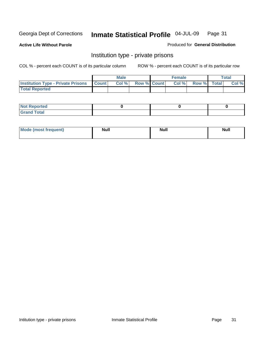**Active Life Without Parole** 

Produced for **General Distribution**

#### Institution type - private prisons

|                                                     | <b>Male</b> |                    | <b>Female</b> |             | Total |
|-----------------------------------------------------|-------------|--------------------|---------------|-------------|-------|
| <b>Institution Type - Private Prisons   Count  </b> | Col %       | <b>Row % Count</b> | Col %         | Row % Total | Col % |
| <b>Total Reported</b>                               |             |                    |               |             |       |

| <b>Not Reported</b>        |  |  |
|----------------------------|--|--|
| <b>otal</b><br>. Gror<br>. |  |  |

| Mode (most frequent) | <b>Null</b> | <b>Null</b> | <b>Null</b> |
|----------------------|-------------|-------------|-------------|
|                      |             |             |             |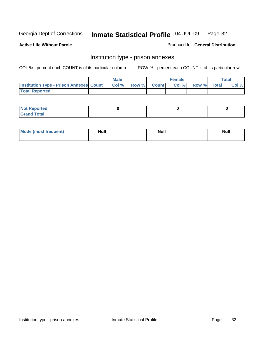**Active Life Without Parole** 

Produced for **General Distribution**

#### Institution type - prison annexes

|                                                | <b>Male</b> |             | <b>Female</b> |             | <b>Total</b> |
|------------------------------------------------|-------------|-------------|---------------|-------------|--------------|
| <b>Institution Type - Prison Annexes Count</b> | Col %       | Row % Count | Col %         | Row % Total | Col %        |
| <b>Total Reported</b>                          |             |             |               |             |              |

| <b>Not</b><br><b>Reported</b>    |  |  |
|----------------------------------|--|--|
| <b>Total</b><br>Gran<br>$\sim$ . |  |  |

| Mode (most frequent) | <b>Null</b> | <b>Null</b> | <b>Null</b> |
|----------------------|-------------|-------------|-------------|
|                      |             |             |             |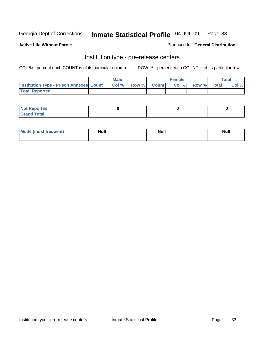**Active Life Without Parole** 

Produced for **General Distribution**

#### Institution type - pre-release centers

|                                                | <b>Male</b> |       |              | Female |             | <b>Total</b> |
|------------------------------------------------|-------------|-------|--------------|--------|-------------|--------------|
| <b>Institution Type - Prison Annexes Count</b> | Col %       | Row % | <b>Count</b> | Col%   | Row % Total | Col %        |
| <b>Total Reported</b>                          |             |       |              |        |             |              |

| <b>Not</b><br><b>Reported</b>    |  |  |
|----------------------------------|--|--|
| <b>Total</b><br>Gran<br>$\sim$ . |  |  |

| Mode (most frequent) | <b>Null</b> | <b>Null</b> | <b>Null</b> |
|----------------------|-------------|-------------|-------------|
|                      |             |             |             |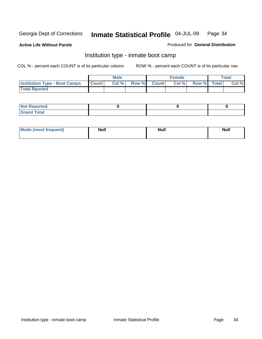**Active Life Without Parole** 

Produced for **General Distribution**

#### Institution type - inmate boot camp

|                                      |              | Male  |             | <b>Female</b> |             | <b>Total</b> |
|--------------------------------------|--------------|-------|-------------|---------------|-------------|--------------|
| <b>Institution Type - Boot Camps</b> | <b>Count</b> | Col % | Row % Count | Col%          | Row % Total | Col %        |
| <b>Total Rported</b>                 |              |       |             |               |             |              |

| <b>Reported</b><br>NOT<br>$\sim$             |  |  |
|----------------------------------------------|--|--|
| $f \wedge f \wedge f'$<br><b>C</b> usse<br>. |  |  |

| Mode (most frequent) | <b>Null</b> | <b>Null</b> | <b>Null</b> |
|----------------------|-------------|-------------|-------------|
|                      |             |             |             |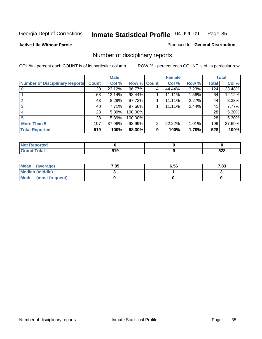**Active Life Without Parole** 

Produced for **General Distribution**

## Number of disciplinary reports

|                                       |                 | <b>Male</b> |             |   | <b>Female</b> |       |              | <b>Total</b> |
|---------------------------------------|-----------------|-------------|-------------|---|---------------|-------|--------------|--------------|
| <b>Number of Disciplinary Reports</b> | <b>Count</b>    | Col %       | Row % Count |   | Col %         | Row % | <b>Total</b> | Col %        |
|                                       | 120             | 23.12%      | 96.77%      | 4 | 44.44%        | 3.23% | 124          | 23.48%       |
|                                       | 63              | 12.14%      | 98.44%      |   | 11.11%        | 1.56% | 64           | 12.12%       |
|                                       | 43              | 8.29%       | 97.73%      |   | 11.11%        | 2.27% | 44           | 8.33%        |
| 3                                     | 40              | 7.71%       | 97.56%      |   | 11.11%        | 2.44% | 41           | 7.77%        |
|                                       | 28 <sup>1</sup> | 5.39%       | 100.00%     |   |               |       | 28           | 5.30%        |
| 5                                     | 28              | 5.39%       | 100.00%     |   |               |       | 28           | 5.30%        |
| <b>More Than 5</b>                    | 197             | 37.96%      | 98.99%      | 2 | 22.22%        | 1.01% | 199          | 37.69%       |
| <b>Total Reported</b>                 | 519             | 100%        | 98.30%      | 9 | 100%          | 1.70% | 528          | 100%         |

| .<br>N<br>тес    |                  |            |
|------------------|------------------|------------|
| $T \sim$ for $T$ | .<br>. .<br>$ -$ | cna<br>ാ∠ഠ |

| Mean (average)       | 7.85 | 6.56 | 7.83 |
|----------------------|------|------|------|
| Median (middle)      |      |      |      |
| Mode (most frequent) |      |      |      |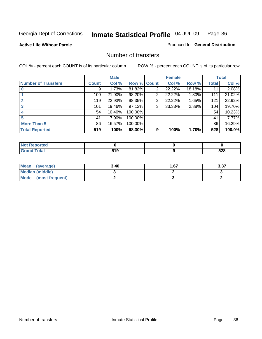#### **Active Life Without Parole**

#### Produced for **General Distribution**

#### Number of transfers

|                            |         | <b>Male</b> |         |                | <b>Female</b> |        |              | <b>Total</b> |
|----------------------------|---------|-------------|---------|----------------|---------------|--------|--------------|--------------|
| <b>Number of Transfers</b> | Count l | Col %       | Row %   | <b>Count</b>   | Col %         | Row %  | <b>Total</b> | Col %        |
|                            | 9       | 1.73%       | 81.82%  | 2              | 22.22%        | 18.18% | 11           | 2.08%        |
|                            | 109     | 21.00%      | 98.20%  | $\overline{2}$ | 22.22%        | 1.80%  | 111          | 21.02%       |
|                            | 119     | 22.93%      | 98.35%  | 2              | 22.22%        | 1.65%  | 121          | 22.92%       |
|                            | 101     | 19.46%      | 97.12%  | 3              | 33.33%        | 2.88%  | 104          | 19.70%       |
|                            | 54      | 10.40%      | 100.00% |                |               |        | 54           | 10.23%       |
|                            | 41      | 7.90%       | 100.00% |                |               |        | 41           | 7.77%        |
| <b>More Than 5</b>         | 86      | 16.57%      | 100.00% |                |               |        | 86           | 16.29%       |
| <b>Total Reported</b>      | 519     | 100%        | 98.30%  | 9              | 100%          | 1.70%  | 528          | 100.0%       |

| тес.   |                  |            |
|--------|------------------|------------|
| ______ | .<br>. .<br>$ -$ | cno<br>ാ∠ഠ |

| Mean (average)       | 3.40 | l .67 | 3.37 |
|----------------------|------|-------|------|
| Median (middle)      |      |       |      |
| Mode (most frequent) |      |       |      |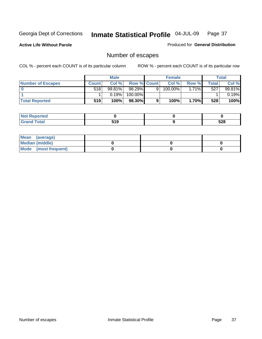**Active Life Without Parole** 

Produced for **General Distribution**

# Number of escapes

|                       |         | <b>Male</b> |                    |   | <b>Female</b> |       |         | <b>Total</b> |
|-----------------------|---------|-------------|--------------------|---|---------------|-------|---------|--------------|
| Number of Escapes     | Count l | Col %       | <b>Row % Count</b> |   | Col %         | Row % | Total I | Col %        |
|                       | 518     | 99.81%      | $98.29\%$          | 9 | 100.00%       | 1.71% | 527     | 99.81%       |
|                       |         | 0.19%       | 100.00%            |   |               |       |         | 0.19%        |
| <b>Total Reported</b> | 519     | 100%        | 98.30%             |   | 100%          | 1.70% | 528     | 100%         |

| neo                             |           |     |
|---------------------------------|-----------|-----|
| <b>otal</b><br>$\mathbf{v}$ and | 54 N<br>, | 528 |

| Mean (average)       |  |  |
|----------------------|--|--|
| Median (middle)      |  |  |
| Mode (most frequent) |  |  |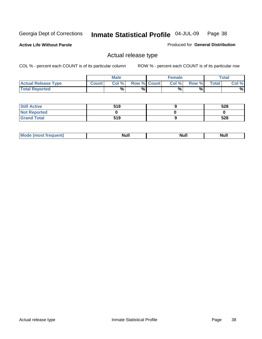**Active Life Without Parole** 

Produced for **General Distribution**

## Actual release type

|                            |              | <b>Male</b> |                    | <b>Female</b> |        |       | Total |
|----------------------------|--------------|-------------|--------------------|---------------|--------|-------|-------|
| <b>Actual Release Type</b> | <b>Count</b> | Col %       | <b>Row % Count</b> | Col %         | Row %I | Total | Col % |
| <b>Total Reported</b>      |              | $\%$        | %                  | %             | %      |       | %     |

| <b>Still Active</b> | 519 | 528 |
|---------------------|-----|-----|
| <b>Not Reported</b> |     |     |
| <b>Grand Total</b>  | 519 | 528 |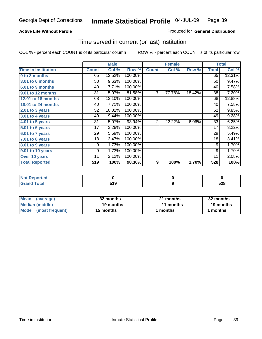### **Active Life Without Parole**

### Produced for **General Distribution**

## Time served in current (or last) institution

|                            |              | <b>Male</b> |         |                | <b>Female</b> |        |              | <b>Total</b> |
|----------------------------|--------------|-------------|---------|----------------|---------------|--------|--------------|--------------|
| <b>Time In Institution</b> | <b>Count</b> | Col %       | Row %   | <b>Count</b>   | Col %         | Row %  | <b>Total</b> | Col %        |
| 0 to 3 months              | 65           | 12.52%      | 100.00% |                |               |        | 65           | 12.31%       |
| 3.01 to 6 months           | 50           | 9.63%       | 100.00% |                |               |        | 50           | 9.47%        |
| 6.01 to 9 months           | 40           | 7.71%       | 100.00% |                |               |        | 40           | 7.58%        |
| 9.01 to 12 months          | 31           | 5.97%       | 81.58%  | $\overline{7}$ | 77.78%        | 18.42% | 38           | 7.20%        |
| 12.01 to 18 months         | 68           | 13.10%      | 100.00% |                |               |        | 68           | 12.88%       |
| 18.01 to 24 months         | 40           | 7.71%       | 100.00% |                |               |        | 40           | 7.58%        |
| $2.01$ to 3 years          | 52           | 10.02%      | 100.00% |                |               |        | 52           | 9.85%        |
| $3.01$ to 4 years          | 49           | 9.44%       | 100.00% |                |               |        | 49           | 9.28%        |
| 4.01 to 5 years            | 31           | 5.97%       | 93.94%  | 2              | 22.22%        | 6.06%  | 33           | 6.25%        |
| 5.01 to 6 years            | 17           | 3.28%       | 100.00% |                |               |        | 17           | 3.22%        |
| 6.01 to 7 years            | 29           | 5.59%       | 100.00% |                |               |        | 29           | 5.49%        |
| $7.01$ to 8 years          | 18           | 3.47%       | 100.00% |                |               |        | 18           | 3.41%        |
| 8.01 to 9 years            | 9            | 1.73%       | 100.00% |                |               |        | 9            | 1.70%        |
| 9.01 to 10 years           | 9            | 1.73%       | 100.00% |                |               |        | 9            | 1.70%        |
| Over 10 years              | 11           | 2.12%       | 100.00% |                |               |        | 11           | 2.08%        |
| <b>Total Reported</b>      | 519          | 100%        | 98.30%  | 9              | 100%          | 1.70%  | 528          | 100%         |

| <b>Not Reported</b> |            |            |
|---------------------|------------|------------|
| Total               | 540<br>JIJ | cno<br>ס∡כ |

| <b>Mean</b><br>(average) | 32 months | 21 months | 32 months |  |
|--------------------------|-----------|-----------|-----------|--|
| Median (middle)          | 19 months | 11 months | 19 months |  |
| Mode (most frequent)     | 15 months | ' months  | months    |  |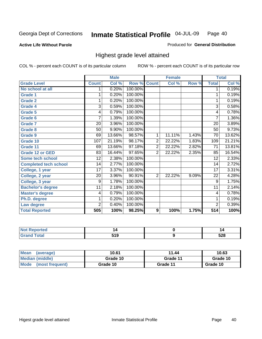**Active Life Without Parole** 

Produced for **General Distribution**

## Highest grade level attained

|                              |                 | <b>Male</b> |            |                  | <b>Female</b> |       |                 | <b>Total</b> |
|------------------------------|-----------------|-------------|------------|------------------|---------------|-------|-----------------|--------------|
| <b>Grade Level</b>           | <b>Count</b>    | Col %       | Row %      | <b>Count</b>     | Col %         | Row % | <b>Total</b>    | Col %        |
| No school at all             | 1               | 0.20%       | 100.00%    |                  |               |       | 1               | 0.19%        |
| <b>Grade 1</b>               | 1               | 0.20%       | 100.00%    |                  |               |       | 1               | 0.19%        |
| <b>Grade 2</b>               | 1               | 0.20%       | 100.00%    |                  |               |       | 1               | 0.19%        |
| <b>Grade 4</b>               | 3               | 0.59%       | 100.00%    |                  |               |       | 3               | 0.58%        |
| Grade 5                      | 4               | 0.79%       | $100.00\%$ |                  |               |       | 4               | 0.78%        |
| Grade 6                      | 7               | 1.39%       | 100.00%    |                  |               |       | 7               | 1.36%        |
| <b>Grade 7</b>               | 20              | 3.96%       | 100.00%    |                  |               |       | 20              | 3.89%        |
| <b>Grade 8</b>               | 50              | 9.90%       | 100.00%    |                  |               |       | 50              | 9.73%        |
| <b>Grade 9</b>               | 69              | 13.66%      | 98.57%     | 1                | 11.11%        | 1.43% | 70              | 13.62%       |
| Grade 10                     | 107             | 21.19%      | 98.17%     | $\overline{2}$   | 22.22%        | 1.83% | 109             | 21.21%       |
| Grade 11                     | 69              | 13.66%      | 97.18%     | $\overline{2}$   | 22.22%        | 2.82% | $\overline{71}$ | 13.81%       |
| <b>Grade 12 or GED</b>       | $\overline{83}$ | 16.44%      | 97.65%     | $\overline{2}$   | 22.22%        | 2.35% | 85              | 16.54%       |
| <b>Some tech school</b>      | $\overline{12}$ | 2.38%       | 100.00%    |                  |               |       | 12              | 2.33%        |
| <b>Completed tech school</b> | 14              | 2.77%       | 100.00%    |                  |               |       | 14              | 2.72%        |
| College, 1 year              | 17              | 3.37%       | 100.00%    |                  |               |       | 17              | 3.31%        |
| College, 2 year              | 20              | 3.96%       | 90.91%     | $\overline{2}$   | 22.22%        | 9.09% | 22              | 4.28%        |
| College, 3 year              | 9               | 1.78%       | 100.00%    |                  |               |       | 9               | 1.75%        |
| <b>Bachelor's degree</b>     | 11              | 2.18%       | 100.00%    |                  |               |       | 11              | 2.14%        |
| <b>Master's degree</b>       | 4               | 0.79%       | 100.00%    |                  |               |       | 4               | 0.78%        |
| Ph.D. degree                 | 1               | 0.20%       | 100.00%    |                  |               |       | 1               | 0.19%        |
| Law degree                   | $\overline{2}$  | 0.40%       | 100.00%    |                  |               |       | $\overline{2}$  | 0.39%        |
| <b>Total Reported</b>        | 505             | 100%        | 98.25%     | $\boldsymbol{9}$ | 100%          | 1.75% | 514             | 100%         |

| тео    | L             | 14         |
|--------|---------------|------------|
| ั้วtaเ | 54 A<br>, , , | rno<br>JŁU |

| Mean<br>(average)       | 10.61    | 11.44    | 10.63    |
|-------------------------|----------|----------|----------|
| Median (middle)         | Grade 10 | Grade 11 | Grade 10 |
| Mode<br>(most frequent) | Grade 10 | Grade 11 | Grade 10 |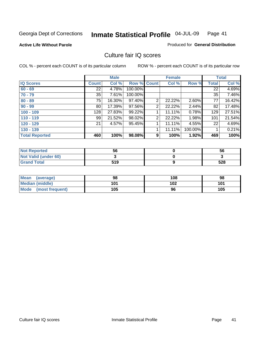### **Active Life Without Parole**

### Produced for **General Distribution**

## Culture fair IQ scores

|                       |              | <b>Male</b> |             |                | <b>Female</b> |         |                 | <b>Total</b> |
|-----------------------|--------------|-------------|-------------|----------------|---------------|---------|-----------------|--------------|
| <b>IQ Scores</b>      | <b>Count</b> | Col %       | Row % Count |                | Col %         | Row %   | <b>Total</b>    | Col %        |
| $60 - 69$             | 22           | 4.78%       | 100.00%     |                |               |         | $\overline{22}$ | 4.69%        |
| $70 - 79$             | 35           | 7.61%       | 100.00%     |                |               |         | 35              | 7.46%        |
| $80 - 89$             | 75           | 16.30%      | 97.40%      | $\overline{2}$ | 22.22%        | 2.60%   | 77              | 16.42%       |
| $90 - 99$             | 80           | 17.39%      | 97.56%      | 2              | 22.22%        | 2.44%   | 82              | 17.48%       |
| $100 - 109$           | 128          | 27.83%      | 99.22%      |                | 11.11%        | 0.78%   | 129             | 27.51%       |
| $110 - 119$           | 99           | 21.52%      | 98.02%      | 2              | 22.22%        | 1.98%   | 101             | 21.54%       |
| $120 - 129$           | 21           | 4.57%       | 95.45%      | 1              | 11.11%        | 4.55%   | 22              | 4.69%        |
| $130 - 139$           |              |             |             |                | 11.11%        | 100.00% |                 | 0.21%        |
| <b>Total Reported</b> | 460          | 100%        | 98.08%      | 9              | 100%          | 1.92%   | 469             | 100%         |

| <b>Not Reported</b>  | 56  | 56  |
|----------------------|-----|-----|
| Not Valid (under 60) |     |     |
| <b>Grand Total</b>   | 519 | 528 |

| <b>Mean</b><br>(average) | 98  | 108 | 98  |
|--------------------------|-----|-----|-----|
| <b>Median (middle)</b>   | 101 | 102 | 101 |
| Mode (most frequent)     | 105 | 96  | 105 |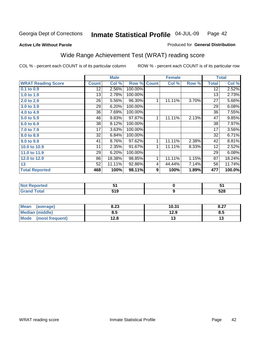### **Active Life Without Parole**

### Produced for **General Distribution**

# Wide Range Achievement Test (WRAT) reading score

|                           |                 | <b>Male</b> |         |              | <b>Female</b>    |       |                 | <b>Total</b> |
|---------------------------|-----------------|-------------|---------|--------------|------------------|-------|-----------------|--------------|
| <b>WRAT Reading Score</b> | <b>Count</b>    | Col %       | Row %   | <b>Count</b> | Col %            | Row % | <b>Total</b>    | Col %        |
| $0.1$ to $0.9$            | $\overline{12}$ | 2.56%       | 100.00% |              |                  |       | $\overline{12}$ | 2.52%        |
| 1.0 to 1.9                | 13              | 2.78%       | 100.00% |              |                  |       | 13              | 2.73%        |
| 2.0 to 2.9                | 26              | 5.56%       | 96.30%  | 1            | 11.11%           | 3.70% | 27              | 5.66%        |
| 3.0 to 3.9                | 29              | 6.20%       | 100.00% |              |                  |       | 29              | 6.08%        |
| 4.0 to 4.9                | 36              | 7.69%       | 100.00% |              |                  |       | 36              | 7.55%        |
| 5.0 to 5.9                | 46              | 9.83%       | 97.87%  | 1            | 11.11%           | 2.13% | 47              | 9.85%        |
| 6.0 to 6.9                | 38              | 8.12%       | 100.00% |              |                  |       | 38              | 7.97%        |
| 7.0 to 7.9                | 17              | 3.63%       | 100.00% |              |                  |       | 17              | 3.56%        |
| 8.0 to 8.9                | 32              | 6.84%       | 100.00% |              |                  |       | 32              | 6.71%        |
| 9.0 to 9.9                | 41              | 8.76%       | 97.62%  | 1            | 11.11%           | 2.38% | 42              | 8.81%        |
| 10.0 to 10.9              | 11              | 2.35%       | 91.67%  | 1            | 11.11%           | 8.33% | 12              | 2.52%        |
| 11.0 to 11.9              | 29              | 6.20%       | 100.00% |              |                  |       | 29              | 6.08%        |
| 12.0 to 12.9              | 86              | 18.38%      | 98.85%  | 1            | 11.11%           | 1.15% | 87              | 18.24%       |
| 13                        | 52              | 11.11%      | 92.86%  | 4            | 44.44%           | 7.14% | 56              | 11.74%       |
| <b>Total Reported</b>     | 468             | 100%        | 98.11%  | 9            | 100%             | 1.89% | 477             | 100.0%       |
|                           |                 |             |         |              |                  |       |                 |              |
| <b>Not Reported</b>       |                 | 51          |         |              | $\mathbf 0$      |       |                 | 51           |
| <b>Grand Total</b>        |                 | 519         |         |              | $\boldsymbol{9}$ |       |                 | 528          |

| Mean (average)       | 8.23 | 10.31 | 8.27 |
|----------------------|------|-------|------|
| Median (middle)      | 8.5  | 12.9  | 8.5  |
| Mode (most frequent) | 12.8 | ט ו   |      |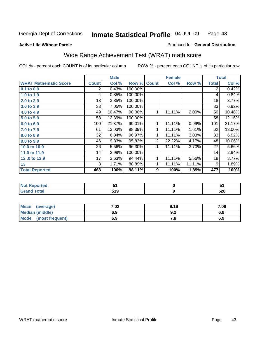**Active Life Without Parole** 

### Produced for **General Distribution**

# Wide Range Achievement Test (WRAT) math score

|                              |                | <b>Male</b> |         |                | <b>Female</b> |        |                | <b>Total</b> |
|------------------------------|----------------|-------------|---------|----------------|---------------|--------|----------------|--------------|
| <b>WRAT Mathematic Score</b> | <b>Count</b>   | Col %       | Row %   | <b>Count</b>   | Col %         | Row %  | <b>Total</b>   | Col %        |
| 0.1 to 0.9                   | $\overline{2}$ | 0.43%       | 100.00% |                |               |        | $\overline{2}$ | 0.42%        |
| 1.0 to 1.9                   | 4              | 0.85%       | 100.00% |                |               |        | 4              | 0.84%        |
| 2.0 to 2.9                   | 18             | 3.85%       | 100.00% |                |               |        | 18             | 3.77%        |
| 3.0 to 3.9                   | 33             | 7.05%       | 100.00% |                |               |        | 33             | 6.92%        |
| 4.0 to 4.9                   | 49             | 10.47%      | 98.00%  | 1              | 11.11%        | 2.00%  | 50             | 10.48%       |
| 5.0 to 5.9                   | 58             | 12.39%      | 100.00% |                |               |        | 58             | 12.16%       |
| 6.0 to 6.9                   | 100            | 21.37%      | 99.01%  | 1              | 11.11%        | 0.99%  | 101            | 21.17%       |
| 7.0 to 7.9                   | 61             | 13.03%      | 98.39%  | 1              | 11.11%        | 1.61%  | 62             | 13.00%       |
| 8.0 to 8.9                   | 32             | 6.84%       | 96.97%  | 1              | 11.11%        | 3.03%  | 33             | 6.92%        |
| 9.0 to 9.9                   | 46             | 9.83%       | 95.83%  | $\overline{2}$ | 22.22%        | 4.17%  | 48             | 10.06%       |
| 10.0 to 10.9                 | 26             | 5.56%       | 96.30%  | 1              | 11.11%        | 3.70%  | 27             | 5.66%        |
| 11.0 to 11.9                 | 14             | 2.99%       | 100.00% |                |               |        | 14             | 2.94%        |
| 12.0 to 12.9                 | 17             | 3.63%       | 94.44%  | 1              | 11.11%        | 5.56%  | 18             | 3.77%        |
| 13                           | 8              | 1.71%       | 88.89%  | 1              | 11.11%        | 11.11% | 9              | 1.89%        |
| <b>Total Reported</b>        | 468            | 100%        | 98.11%  | 9              | 100%          | 1.89%  | 477            | 100%         |
|                              |                |             |         |                |               |        |                |              |
| <b>Not Reported</b>          |                | 51          |         |                | $\pmb{0}$     |        |                | 51           |
| <b>Grand Total</b>           |                | 519         |         |                | 9             |        |                | 528          |

| Mean<br>(average)              | 7.02 | 9.16 | 7.06 |
|--------------------------------|------|------|------|
| <b>Median (middle)</b>         | 6.9  | J.Z  | 6.9  |
| <b>Mode</b><br>(most frequent) | 6.9  | .о   | 6.9  |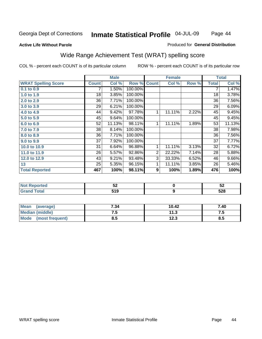### **Active Life Without Parole**

### Produced for **General Distribution**

# Wide Range Achievement Test (WRAT) spelling score

|                            |                 | <b>Male</b> |         |                  | <b>Female</b>    |       |                 | <b>Total</b> |
|----------------------------|-----------------|-------------|---------|------------------|------------------|-------|-----------------|--------------|
| <b>WRAT Spelling Score</b> | <b>Count</b>    | Col %       | Row %   | <b>Count</b>     | Col %            | Row % | <b>Total</b>    | Col %        |
| $0.1$ to $0.9$             |                 | 1.50%       | 100.00% |                  |                  |       | 7               | 1.47%        |
| 1.0 to 1.9                 | $\overline{18}$ | 3.85%       | 100.00% |                  |                  |       | $\overline{18}$ | 3.78%        |
| 2.0 to 2.9                 | 36              | 7.71%       | 100.00% |                  |                  |       | 36              | 7.56%        |
| 3.0 to 3.9                 | 29              | 6.21%       | 100.00% |                  |                  |       | 29              | 6.09%        |
| 4.0 to 4.9                 | 44              | 9.42%       | 97.78%  | 1                | 11.11%           | 2.22% | 45              | 9.45%        |
| 5.0 to 5.9                 | 45              | 9.64%       | 100.00% |                  |                  |       | 45              | 9.45%        |
| 6.0 to 6.9                 | 52              | 11.13%      | 98.11%  | 1                | 11.11%           | 1.89% | 53              | 11.13%       |
| 7.0 to 7.9                 | 38              | 8.14%       | 100.00% |                  |                  |       | 38              | 7.98%        |
| 8.0 to 8.9                 | 36              | 7.71%       | 100.00% |                  |                  |       | 36              | 7.56%        |
| 9.0 to 9.9                 | 37              | 7.92%       | 100.00% |                  |                  |       | 37              | 7.77%        |
| 10.0 to 10.9               | 31              | 6.64%       | 96.88%  | 1                | 11.11%           | 3.13% | 32              | 6.72%        |
| 11.0 to 11.9               | 26              | 5.57%       | 92.86%  | $\overline{2}$   | 22.22%           | 7.14% | 28              | 5.88%        |
| 12.0 to 12.9               | 43              | 9.21%       | 93.48%  | $\overline{3}$   | 33.33%           | 6.52% | 46              | 9.66%        |
| 13                         | 25              | 5.35%       | 96.15%  | 1                | 11.11%           | 3.85% | 26              | 5.46%        |
| <b>Total Reported</b>      | 467             | 100%        | 98.11%  | $\boldsymbol{9}$ | 100%             | 1.89% | 476             | 100%         |
|                            |                 |             |         |                  |                  |       |                 |              |
| <b>Not Reported</b>        |                 | 52          |         |                  | $\pmb{0}$        |       |                 | 52           |
| <b>Grand Total</b>         |                 | 519         |         |                  | $\boldsymbol{9}$ |       |                 | 528          |

| <b>Mean</b><br>(average) | 7.34 | 10.42 | 7.40 |
|--------------------------|------|-------|------|
| Median (middle)          | ن. ا | 11.3  | r. 1 |
| Mode (most frequent)     | 8.5  | 12.3  | 8.5  |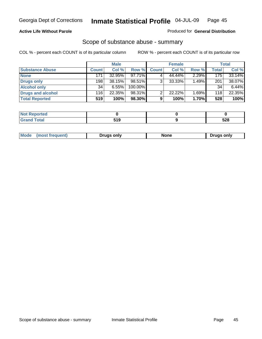### **Active Life Without Parole**

### Produced for **General Distribution**

## Scope of substance abuse - summary

|                        |              | <b>Male</b> |           |              | <b>Female</b> |       |              | <b>Total</b> |
|------------------------|--------------|-------------|-----------|--------------|---------------|-------|--------------|--------------|
| <b>Substance Abuse</b> | <b>Count</b> | Col %       | Row %     | <b>Count</b> | Col %         | Row % | <b>Total</b> | Col %        |
| <b>None</b>            | 171          | 32.95%      | $97.71\%$ |              | 44.44%        | 2.29% | 175          | 33.14%       |
| Drugs only             | 198          | 38.15%      | 98.51%    |              | 33.33%        | 1.49% | 201          | 38.07%       |
| <b>Alcohol only</b>    | 34           | $6.55\%$    | 100.00%   |              |               |       | 34           | 6.44%        |
| Drugs and alcohol      | 116          | 22.35%      | 98.31%    |              | 22.22%        | 1.69% | 118          | 22.35%       |
| <b>Total Reported</b>  | 519          | 100%        | 98.30%    | 9            | 100%          | 1.70% | 528          | 100%         |

| <b>Not</b><br><b>Reported</b> |      |            |
|-------------------------------|------|------------|
| <b>Total</b><br>' Grano       | :4 O | cno<br>ว∠๐ |

|  | Mode<br>ונוצוווי | Druas onlv | None | only<br>Pruas . |
|--|------------------|------------|------|-----------------|
|--|------------------|------------|------|-----------------|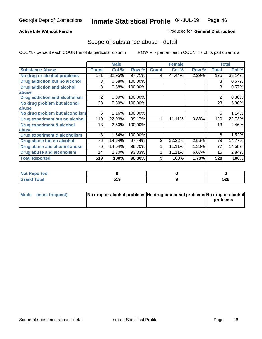### **Active Life Without Parole**

### Produced for **General Distribution**

## Scope of substance abuse - detail

|                                         |              | <b>Male</b> |         |                | <b>Female</b> |          |              | <b>Total</b> |
|-----------------------------------------|--------------|-------------|---------|----------------|---------------|----------|--------------|--------------|
| <b>Substance Abuse</b>                  | <b>Count</b> | Col %       | Row %   | <b>Count</b>   | Col %         | Row %    | <b>Total</b> | Col %        |
| No drug or alcohol problems             | 171          | 32.95%      | 97.71%  | 4              | 44.44%        | 2.29%    | 175          | 33.14%       |
| Drug addiction but no alcohol           | 3            | 0.58%       | 100.00% |                |               |          | 3            | 0.57%        |
| <b>Drug addiction and alcohol</b>       | 3            | 0.58%       | 100.00% |                |               |          | 3            | 0.57%        |
| abuse                                   |              |             |         |                |               |          |              |              |
| <b>Drug addiction and alcoholism</b>    | 2            | 0.39%       | 100.00% |                |               |          | 2            | 0.38%        |
| No drug problem but alcohol             | 28           | 5.39%       | 100.00% |                |               |          | 28           | 5.30%        |
| abuse                                   |              |             |         |                |               |          |              |              |
| No drug problem but alcoholism          | 6            | 1.16%       | 100.00% |                |               |          | 6            | 1.14%        |
| Drug experiment but no alcohol          | 119          | 22.93%      | 99.17%  | 1              | 11.11%        | 0.83%    | 120          | 22.73%       |
| <b>Drug experiment &amp; alcohol</b>    | 13           | 2.50%       | 100.00% |                |               |          | 13           | 2.46%        |
| abuse                                   |              |             |         |                |               |          |              |              |
| <b>Drug experiment &amp; alcoholism</b> | 8            | 1.54%       | 100.00% |                |               |          | 8            | 1.52%        |
| Drug abuse but no alcohol               | 76           | 14.64%      | 97.44%  | $\overline{2}$ | 22.22%        | 2.56%    | 78           | 14.77%       |
| Drug abuse and alcohol abuse            | 76           | 14.64%      | 98.70%  |                | 11.11%        | $1.30\%$ | 77           | 14.58%       |
| Drug abuse and alcoholism               | 14           | 2.70%       | 93.33%  |                | 11.11%        | 6.67%    | 15           | 2.84%        |
| <b>Total Reported</b>                   | 519          | 100%        | 98.30%  | 9              | 100%          | 1.70%    | 528          | 100%         |

| Not Reported |          |                   |
|--------------|----------|-------------------|
| <b>Total</b> | 540<br>. | <b>EOO</b><br>ാ∠േ |

| Mode (most frequent) | No drug or alcohol problems No drug or alcohol problems No drug or alcohol |          |
|----------------------|----------------------------------------------------------------------------|----------|
|                      |                                                                            | problems |
|                      |                                                                            |          |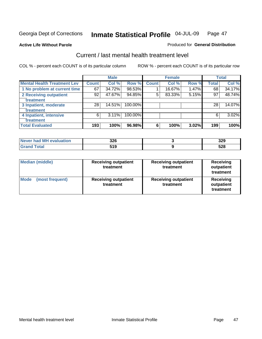**Active Life Without Parole** 

### Produced for **General Distribution**

## Current / last mental health treatment level

|                                    |              | <b>Male</b> |         |              | <b>Female</b> |       |              | <b>Total</b> |
|------------------------------------|--------------|-------------|---------|--------------|---------------|-------|--------------|--------------|
| <b>Mental Health Treatment Lev</b> | <b>Count</b> | Col %       | Row %   | <b>Count</b> | Col %         | Row % | <b>Total</b> | Col %        |
| 1 No problem at current time       | 67           | 34.72%      | 98.53%  |              | 16.67%        | 1.47% | 68           | 34.17%       |
| 2 Receiving outpatient             | 92           | 47.67%      | 94.85%  | 5            | 83.33%        | 5.15% | 97           | 48.74%       |
| treatment                          |              |             |         |              |               |       |              |              |
| 3 Inpatient, moderate              | 28           | 14.51%      | 100.00% |              |               |       | 28           | 14.07%       |
| treatment                          |              |             |         |              |               |       |              |              |
| 4 Inpatient, intensive             | 6            | 3.11%       | 100.00% |              |               |       | 6            | 3.02%        |
| treatment                          |              |             |         |              |               |       |              |              |
| <b>Total Evaluated</b>             | 193          | 100%        | 96.98%  | 6            | 100%          | 3.02% | 199          | 100%         |

| Never had MH evaluation | 326 | 329 |
|-------------------------|-----|-----|
| $T$ ntal                | 519 | 528 |

| <b>Median (middle)</b>         | <b>Receiving outpatient</b><br>treatment | <b>Receiving outpatient</b><br>treatment | <b>Receiving</b><br>outpatient<br>treatment |  |
|--------------------------------|------------------------------------------|------------------------------------------|---------------------------------------------|--|
| <b>Mode</b><br>(most frequent) | <b>Receiving outpatient</b><br>treatment | <b>Receiving outpatient</b><br>treatment | Receiving<br>outpatient<br>treatment        |  |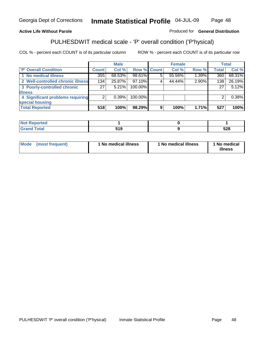### **Active Life Without Parole**

## Produced for **General Distribution**

# PULHESDWIT medical scale - 'P' overall condition ('P'hysical)

|                                   |                 | <b>Male</b> |             |   | <b>Female</b> |       |              | <b>Total</b> |
|-----------------------------------|-----------------|-------------|-------------|---|---------------|-------|--------------|--------------|
| 'P' Overall Condition             | Count l         | Col %       | Row % Count |   | Col %         | Row % | <b>Total</b> | Col %        |
| 1 No medical illness              | 355             | 68.53%      | 98.61%      | 5 | 55.56%        | 1.39% | 360          | 68.31%       |
| 2 Well-controlled chronic illness | 134             | 25.87%      | 97.10%      |   | 44.44%        | 2.90% | 138          | 26.19%       |
| 3 Poorly-controlled chronic       | 27 <sup>1</sup> | 5.21%       | 100.00%     |   |               |       | 27           | 5.12%        |
| <b>illness</b>                    |                 |             |             |   |               |       |              |              |
| 4 Significant problems requiring  | 2               | 0.39%       | 100.00%     |   |               |       | 2            | 0.38%        |
| special housing                   |                 |             |             |   |               |       |              |              |
| <b>Total Reported</b>             | 518             | 100%        | 98.29%      | 9 | 100%          | 1.71% | 527          | 100%         |

| Not Reported |         |     |
|--------------|---------|-----|
| <b>otal</b>  | -40<br> | 528 |

| Mode<br>(most frequent) | 1 No medical illness | 1 No medical illness | 1 No medical<br>illness |
|-------------------------|----------------------|----------------------|-------------------------|
|-------------------------|----------------------|----------------------|-------------------------|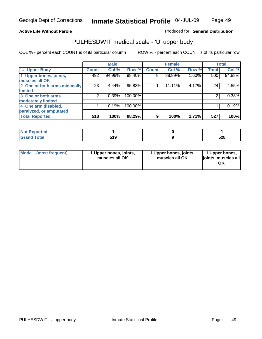### **Active Life Without Parole**

### Produced for **General Distribution**

## PULHESDWIT medical scale - 'U' upper body

|                              |                    | <b>Male</b> |         |              | <b>Female</b> |       |              | <b>Total</b> |
|------------------------------|--------------------|-------------|---------|--------------|---------------|-------|--------------|--------------|
| <b>U' Upper Body</b>         | Count <sup>1</sup> | Col %       | Row %   | <b>Count</b> | Col %         | Row % | <b>Total</b> | Col %        |
| 1 Upper bones, joints,       | 492                | 94.98%      | 98.40%  | 8            | 88.89%        | 1.60% | 500          | 94.88%       |
| muscles all OK               |                    |             |         |              |               |       |              |              |
| 2 One or both arms minimally | 23                 | 4.44%       | 95.83%  |              | 11.11%        | 4.17% | 24           | 4.55%        |
| limited                      |                    |             |         |              |               |       |              |              |
| 3 One or both arms           | 2                  | 0.39%       | 100.00% |              |               |       | 2            | 0.38%        |
| moderately limited           |                    |             |         |              |               |       |              |              |
| 4 One arm disabled,          |                    | 0.19%       | 100.00% |              |               |       |              | 0.19%        |
| paralyzed, or amputated      |                    |             |         |              |               |       |              |              |
| <b>Total Reported</b>        | 518                | 100%        | 98.29%  | 9            | 100%          | 1.71% | 527          | 100%         |

| the said the co-<br>rteo                |              |     |
|-----------------------------------------|--------------|-----|
| $C = 4 - 7$<br>υιαι<br>$\mathbf{v}$ and | E 4 N<br>. . | 528 |

| <b>Mode</b> | (most frequent) | 1 Upper bones, joints,<br>muscles all OK | 1 Upper bones, joints,<br>muscles all OK | 1 Upper bones,<br>joints, muscles all<br>OK |
|-------------|-----------------|------------------------------------------|------------------------------------------|---------------------------------------------|
|-------------|-----------------|------------------------------------------|------------------------------------------|---------------------------------------------|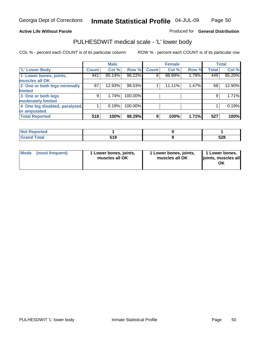### **Active Life Without Parole**

### Produced for **General Distribution**

## PULHESDWIT medical scale - 'L' lower body

|                                |              | <b>Male</b> |         |              | <b>Female</b> |       |              | <b>Total</b> |
|--------------------------------|--------------|-------------|---------|--------------|---------------|-------|--------------|--------------|
| 'L' Lower Body                 | <b>Count</b> | Col %       | Row %   | <b>Count</b> | Col %         | Row % | <b>Total</b> | Col %        |
| 1 Lower bones, joints,         | 441          | 85.14%      | 98.22%  | 8            | 88.89%        | 1.78% | 449          | 85.20%       |
| muscles all OK                 |              |             |         |              |               |       |              |              |
| 2 One or both legs minimally   | 67           | 12.93%      | 98.53%  |              | 11.11%        | 1.47% | 68           | 12.90%       |
| limited                        |              |             |         |              |               |       |              |              |
| 3 One or both legs             | 9            | 1.74%       | 100.00% |              |               |       | 9            | 1.71%        |
| moderately limited             |              |             |         |              |               |       |              |              |
| 4 One leg disabled, paralyzed, |              | 0.19%       | 100.00% |              |               |       |              | 0.19%        |
| or amputated                   |              |             |         |              |               |       |              |              |
| <b>Total Reported</b>          | 518          | 100%        | 98.29%  | 9            | 100%          | 1.71% | 527          | 100%         |

| <b>Continued and Continued In the Continued Property</b><br>rtea<br>NOT<br>. |             |     |
|------------------------------------------------------------------------------|-------------|-----|
| T <sub>ofol</sub><br><b>C</b> <sub>ro</sub><br>υιαι                          | 64 O<br>. ס | 528 |

| Mode | (most frequent) | 1 Lower bones, joints,<br>muscles all OK | 1 Lower bones, joints,<br>muscles all OK | 1 Lower bones,<br>joints, muscles all<br>OK |
|------|-----------------|------------------------------------------|------------------------------------------|---------------------------------------------|
|------|-----------------|------------------------------------------|------------------------------------------|---------------------------------------------|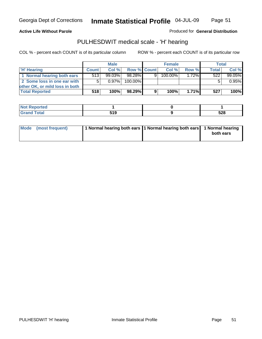Page 51

### **Active Life Without Parole**

Produced for **General Distribution**

## PULHESDWIT medical scale - 'H' hearing

|                                | <b>Male</b>  |           |             | <b>Female</b> |            |          | <b>Total</b> |         |
|--------------------------------|--------------|-----------|-------------|---------------|------------|----------|--------------|---------|
| 'H' Hearing                    | <b>Count</b> | Col%      | Row % Count |               | Col%       | Row %    | <b>Total</b> | Col %   |
| 1 Normal hearing both ears     | 513          | $99.03\%$ | 98.28%      | 9             | $100.00\%$ | $1.72\%$ | 522          | 99.05%  |
| 2 Some loss in one ear with    | 5            | $0.97\%$  | 100.00%     |               |            |          |              | 0.95%   |
| other OK, or mild loss in both |              |           |             |               |            |          |              |         |
| <b>Total Reported</b>          | 518          | 100%      | 98.29%      | 9             | 100%       | $1.71\%$ | 527          | $100\%$ |

| тео<br>w  |  |     |
|-----------|--|-----|
| $-1$ with |  | 528 |

| Mode (most frequent) | 1 Normal hearing both ears 11 Normal hearing both ears 1 Normal hearing | both ears |
|----------------------|-------------------------------------------------------------------------|-----------|
|                      |                                                                         |           |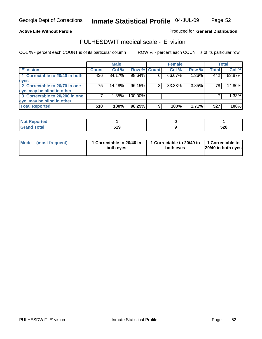### **Active Life Without Parole**

### Produced for **General Distribution**

## PULHESDWIT medical scale - 'E' vision

|                                |              | <b>Male</b> |             |   | <b>Female</b> |       |              | Total  |
|--------------------------------|--------------|-------------|-------------|---|---------------|-------|--------------|--------|
| <b>E' Vision</b>               | <b>Count</b> | Col %       | Row % Count |   | Col %         | Row % | <b>Total</b> | Col %  |
| 1 Correctable to 20/40 in both | 436          | 84.17%      | 98.64%      | 6 | 66.67%        | 1.36% | 442          | 83.87% |
| eyes                           |              |             |             |   |               |       |              |        |
| 2 Correctable to 20/70 in one  | 75           | 14.48%      | 96.15%      |   | $33.33\%$     | 3.85% | 78           | 14.80% |
| leye, may be blind in other    |              |             |             |   |               |       |              |        |
| 3 Correctable to 20/200 in one |              | $1.35\%$    | 100.00%     |   |               |       |              | 1.33%  |
| eye, may be blind in other     |              |             |             |   |               |       |              |        |
| <b>Total Reported</b>          | 518          | 100%        | 98.29%      | 9 | 100%          | 1.71% | 527          | 100%   |

| orted<br>NO |               |     |
|-------------|---------------|-----|
| <b>otal</b> | 64 C<br>ט ו ט | 528 |

| Mode (most frequent) | 1 Correctable to 20/40 in<br>both eyes | 1 Correctable to 20/40 in   1 Correctable to<br>both eves | 20/40 in both eyes |
|----------------------|----------------------------------------|-----------------------------------------------------------|--------------------|
|----------------------|----------------------------------------|-----------------------------------------------------------|--------------------|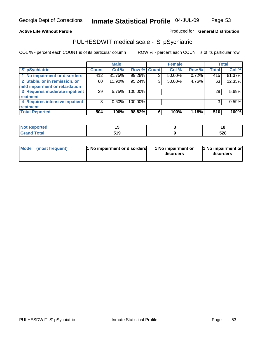### **Active Life Without Parole**

### Produced for **General Distribution**

## PULHESDWIT medical scale - 'S' pSychiatric

|                                |              | <b>Male</b> |             |   | <b>Female</b> |       |              | <b>Total</b> |
|--------------------------------|--------------|-------------|-------------|---|---------------|-------|--------------|--------------|
| 'S' pSychiatric                | <b>Count</b> | Col %       | Row % Count |   | Col %         | Row % | <b>Total</b> | Col %        |
| 1 No impairment or disorders   | 412          | 81.75%      | 99.28%      | 3 | 50.00%        | 0.72% | 415          | 81.37%       |
| 2 Stable, or in remission, or  | 60           | 11.90%      | 95.24%      | 3 | 50.00%        | 4.76% | 63           | 12.35%       |
| mild impairment or retardation |              |             |             |   |               |       |              |              |
| 3 Requires moderate inpatient  | 29           | 5.75%       | 100.00%     |   |               |       | 29           | 5.69%        |
| treatment                      |              |             |             |   |               |       |              |              |
| 4 Requires intensive inpatient | 3            | $0.60\%$    | 100.00%     |   |               |       | 3            | 0.59%        |
| treatment                      |              |             |             |   |               |       |              |              |
| <b>Total Reported</b>          | 504          | 100%        | 98.82%      | 6 | 100%          | 1.18% | 510          | 100%         |

| <b>Reported</b> |               | ı u |
|-----------------|---------------|-----|
| <b>Total</b>    | 64 C<br>ט ו ט | 528 |

| Mode (most frequent)                | 1 No impairment or | 11 No impairment or |
|-------------------------------------|--------------------|---------------------|
| <b>1 No impairment or disorders</b> | disorders          | disorders           |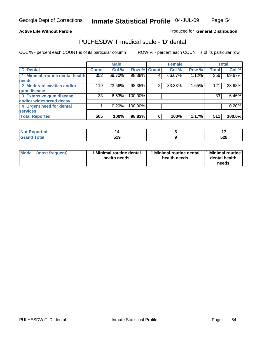Page 54

### **Active Life Without Parole**

### Produced for **General Distribution**

## PULHESDWIT medical scale - 'D' dental

|                                 |        | <b>Male</b> |             |   | <b>Female</b> |       |              | <b>Total</b> |
|---------------------------------|--------|-------------|-------------|---|---------------|-------|--------------|--------------|
| 'D' Dental                      | Count! | Col %       | Row % Count |   | Col %         | Row % | <b>Total</b> | Col %        |
| 1 Minimal routine dental health | 352    | 69.70%      | 98.88%      |   | 66.67%        | 1.12% | 356          | 69.67%       |
| <b>needs</b>                    |        |             |             |   |               |       |              |              |
| 2 Moderate cavities and/or      | 119    | 23.56%      | 98.35%      | 2 | 33.33%        | 1.65% | 121          | 23.68%       |
| gum disease                     |        |             |             |   |               |       |              |              |
| 3 Extensive gum disease         | 33     | 6.53%       | 100.00%     |   |               |       | 33           | 6.46%        |
| and/or widespread decay         |        |             |             |   |               |       |              |              |
| 4 Urgent need for dental        |        | 0.20%       | 100.00%     |   |               |       |              | 0.20%        |
| <b>services</b>                 |        |             |             |   |               |       |              |              |
| <b>Total Reported</b>           | 505    | 100%        | 98.83%      | 6 | 100%          | 1.17% | 511          | 100.0%       |

| <b>Not Reported</b>          |              |     |
|------------------------------|--------------|-----|
| <b>Total</b><br><b>C</b> ron | - - -<br>JIJ | 528 |

| <b>Mode</b><br>(most frequent) | <b>Minimal routine dental</b><br>health needs | 1 Minimal routine dental<br>health needs | 11 Minimal routine<br>dental health<br>needs |
|--------------------------------|-----------------------------------------------|------------------------------------------|----------------------------------------------|
|--------------------------------|-----------------------------------------------|------------------------------------------|----------------------------------------------|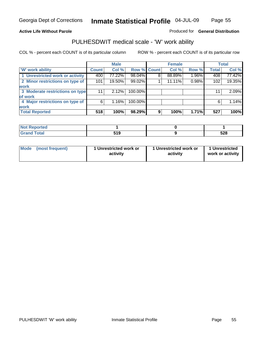### **Active Life Without Parole**

### Produced for **General Distribution**

## PULHESDWIT medical scale - 'W' work ability

|                                 |              | <b>Male</b> |             |   | <b>Female</b> |       |              | <b>Total</b> |
|---------------------------------|--------------|-------------|-------------|---|---------------|-------|--------------|--------------|
| <b>W' work ability</b>          | <b>Count</b> | Col %       | Row % Count |   | Col %         | Row % | <b>Total</b> | Col %        |
| 1 Unrestricted work or activity | 400          | 77.22%      | 98.04%      | 8 | 88.89%        | 1.96% | 408          | 77.42%       |
| 2 Minor restrictions on type of | 101          | 19.50%      | 99.02%      |   | 11.11%        | 0.98% | 102          | 19.35%       |
| <b>work</b>                     |              |             |             |   |               |       |              |              |
| 3 Moderate restrictions on type | 11           | 2.12%       | 100.00%     |   |               |       | 11           | 2.09%        |
| of work                         |              |             |             |   |               |       |              |              |
| 4 Major restrictions on type of | 6            | 1.16%       | 100.00%     |   |               |       | 6            | 1.14%        |
| <b>work</b>                     |              |             |             |   |               |       |              |              |
| <b>Total Reported</b>           | 518          | 100%        | 98.29%      | 9 | 100%          | 1.71% | 527          | 100%         |

| Not Reported |       |     |
|--------------|-------|-----|
| Total        | 640   | cno |
| Grs          | ט ו ט | ວ∠o |

| Mode | (most frequent) | 1 Unrestricted work or<br>activity | 1 Unrestricted work or<br>activity | 1 Unrestricted<br>work or activity |  |
|------|-----------------|------------------------------------|------------------------------------|------------------------------------|--|
|      |                 |                                    |                                    |                                    |  |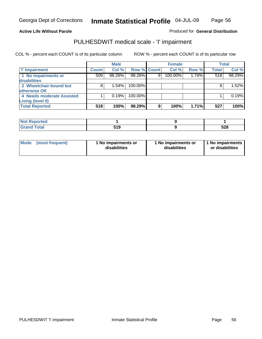Page 56

### **Active Life Without Parole**

### Produced for **General Distribution**

## PULHESDWIT medical scale - 'I' impairment

|                           |              | <b>Male</b> |             |   | <b>Female</b> |       |              | <b>Total</b> |
|---------------------------|--------------|-------------|-------------|---|---------------|-------|--------------|--------------|
| <b>T' Impairment</b>      | <b>Count</b> | Col %       | Row % Count |   | Col %         | Row % | <b>Total</b> | Col %        |
| 1 No impairments or       | 509          | 98.26%      | 98.26%      | 9 | 100.00%       | 1.74% | 518          | 98.29%       |
| disabilities              |              |             |             |   |               |       |              |              |
| 2 Wheelchair-bound but    | 8            | 1.54%       | 100.00%     |   |               |       |              | 1.52%        |
| otherwise OK              |              |             |             |   |               |       |              |              |
| 4 Needs moderate Assisted |              | 0.19%       | 100.00%     |   |               |       |              | 0.19%        |
| <b>Living (level II)</b>  |              |             |             |   |               |       |              |              |
| <b>Total Reported</b>     | 518          | 100%        | 98.29%      | 9 | 100%          | 1.71% | 527          | 100%         |

| ported<br>NOT<br>$\cdots$ |                  |     |
|---------------------------|------------------|-----|
| <b>otal</b>               | 640<br>JIJ<br>__ | 528 |

| Mode            | 1 No impairments or | 1 No impairments or | 1 No impairments |
|-----------------|---------------------|---------------------|------------------|
| (most frequent) | disabilities        | disabilities        | or disabilities  |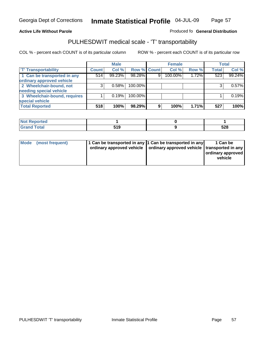### **Inmate Statistical Profile** 04-JUL-09 Page Page 57

### **Active Life Without Parole Produced fo Seneral Distribution**

# PULHESDWIT medical scale - 'T' transportability

|                              |              | <b>Male</b> |             |   | <b>Female</b> |       |              | <b>Total</b> |
|------------------------------|--------------|-------------|-------------|---|---------------|-------|--------------|--------------|
| <b>T' Transportability</b>   | <b>Count</b> | Col %       | Row % Count |   | Col %         | Row % | <b>Total</b> | Col %        |
| 1 Can be transported in any  | 514          | 99.23%      | 98.28%      | 9 | 100.00%       | 1.72% | 523          | 99.24%       |
| ordinary approved vehicle    |              |             |             |   |               |       |              |              |
| 2 Wheelchair-bound, not      | 3            | 0.58%       | 100.00%     |   |               |       |              | 0.57%        |
| needing special vehicle      |              |             |             |   |               |       |              |              |
| 3 Wheelchair-bound, requires |              | 0.19%       | 100.00%     |   |               |       |              | 0.19%        |
| special vehicle              |              |             |             |   |               |       |              |              |
| <b>Total Reported</b>        | 518          | 100%        | 98.29%      | 9 | 100%          | 1.71% | 527          | 100%         |

| <b>Reported</b><br><b>NOT</b> |          |            |
|-------------------------------|----------|------------|
| <b>Total</b>                  | 540<br>. | cno<br>JZO |

| Mode (most frequent) | 1 Can be transported in any 1 Can be transported in any | ordinary approved vehicle   ordinary approved vehicle   transported in any | 1 Can be<br>  ordinary approved  <br>vehicle |
|----------------------|---------------------------------------------------------|----------------------------------------------------------------------------|----------------------------------------------|
|----------------------|---------------------------------------------------------|----------------------------------------------------------------------------|----------------------------------------------|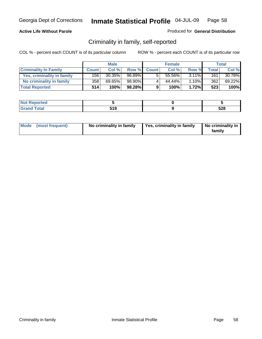### **Active Life Without Parole**

### Produced for **General Distribution**

## Criminality in family, self-reported

|                              |              | <b>Male</b> |        |              | <b>Female</b> |          |                  | Total  |
|------------------------------|--------------|-------------|--------|--------------|---------------|----------|------------------|--------|
| <b>Criminality In Family</b> | <b>Count</b> | Col %       | Row %  | <b>Count</b> | Col %         | Row %    | <b>Total</b>     | Col %  |
| Yes, criminality in family   | 156 l        | 30.35%      | 96.89% | 5            | 55.56%        | $3.11\%$ | 161              | 30.78% |
| No criminality in family     | 358          | 69.65%      | 98.90% | 4            | 44.44%        | $1.10\%$ | 362 <sub>1</sub> | 69.22% |
| <b>Total Reported</b>        | 514          | 100%        | 98.28% | 9            | 100%          | 1.72%    | 523              | 100%   |

| ported<br><b>NOT</b><br><b>IJCK</b> |              |     |
|-------------------------------------|--------------|-----|
| <b>otal</b><br>Gran<br>--           | r. 10<br>JIJ | 528 |

|  | Mode (most frequent) | No criminality in family | Yes, criminality in family | No criminality in<br>family |
|--|----------------------|--------------------------|----------------------------|-----------------------------|
|--|----------------------|--------------------------|----------------------------|-----------------------------|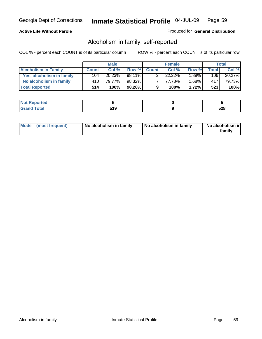### **Active Life Without Parole**

### Produced for **General Distribution**

## Alcoholism in family, self-reported

|                             |              | <b>Male</b> |        |              | <b>Female</b> |          |       | Total  |
|-----------------------------|--------------|-------------|--------|--------------|---------------|----------|-------|--------|
| <b>Alcoholism In Family</b> | <b>Count</b> | Col %       | Row %  | <b>Count</b> | Col %         | Row %    | Total | Col %  |
| Yes, alcoholism in family   | 104          | 20.23%      | 98.11% |              | $22.22\%$     | $1.89\%$ | 106   | 20.27% |
| No alcoholism in family     | 410          | 79.77%      | 98.32% |              | 77.78%        | 1.68%    | 417'  | 79.73% |
| <b>Total Reported</b>       | 514'         | 100%        | 98.28% | 9            | 100%          | 1.72%    | 523   | 100%   |

| oorted<br><b>NOT</b><br><b>IJCI</b> |              |            |
|-------------------------------------|--------------|------------|
| $\sim$<br>Gran<br>--                | 54 O<br>⊶ เจ | cno<br>ວ∠໐ |

|  | Mode (most frequent) | No alcoholism in family | No alcoholism in family | No alcoholism in<br>family |
|--|----------------------|-------------------------|-------------------------|----------------------------|
|--|----------------------|-------------------------|-------------------------|----------------------------|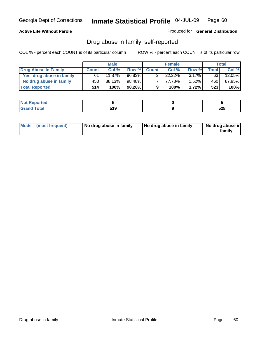### **Active Life Without Parole**

### Produced for **General Distribution**

## Drug abuse in family, self-reported

|                           |              | <b>Male</b> |        |              | <b>Female</b> |          |              | Total  |
|---------------------------|--------------|-------------|--------|--------------|---------------|----------|--------------|--------|
| Drug Abuse In Family      | <b>Count</b> | Col%        | Row %  | <b>Count</b> | Col %         | Row %    | <b>Total</b> | Col %  |
| Yes, drug abuse in family | 61           | 11.87%      | 96.83% |              | 22.22%        | $3.17\%$ | 63           | 12.05% |
| No drug abuse in family   | 453          | 88.13%      | 98.48% |              | 77.78%        | $1.52\%$ | 460          | 87.95% |
| <b>Total Reported</b>     | 514          | 100%        | 98.28% | 9            | 100%          | 1.72%    | 523          | 100%   |

| oorted<br><b>NOT</b><br><b>IJCI</b> |              |            |
|-------------------------------------|--------------|------------|
| $\sim$<br>Gran<br>--                | 54 O<br>⊶ เจ | cno<br>ວ∠໐ |

|  | Mode (most frequent) | No drug abuse in family | No drug abuse in family | No drug abuse in<br>family |
|--|----------------------|-------------------------|-------------------------|----------------------------|
|--|----------------------|-------------------------|-------------------------|----------------------------|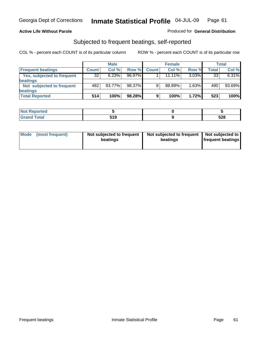### **Active Life Without Parole**

### Produced for **General Distribution**

# Subjected to frequent beatings, self-reported

|                            |              | <b>Male</b> |        |              | <b>Female</b> |          |       | Total  |
|----------------------------|--------------|-------------|--------|--------------|---------------|----------|-------|--------|
| <b>Frequent beatings</b>   | <b>Count</b> | Col %       | Row %  | <b>Count</b> | Col %         | Row %    | Total | Col %  |
| Yes, subjected to frequent | 32           | 6.23%       | 96.97% |              | $11.11\%$     | $3.03\%$ | 33    | 6.31%  |
| beatings                   |              |             |        |              |               |          |       |        |
| Not subjected to frequent  | 482          | $93.77\%$   | 98.37% | 8            | 88.89%        | 1.63%    | 490   | 93.69% |
| beatings                   |              |             |        |              |               |          |       |        |
| <b>Total Reported</b>      | 514          | 100%        | 98.28% | 9            | 100%          | 1.72%    | 523   | 100%   |

| .<br>rted |             |            |
|-----------|-------------|------------|
|           | -10.<br>JIJ | よつの<br>ว∠๐ |

| Mode (most frequent) | Not subjected to frequent | Not subjected to frequent | Not subjected to         |
|----------------------|---------------------------|---------------------------|--------------------------|
|                      | beatings                  | beatings                  | <b>frequent beatings</b> |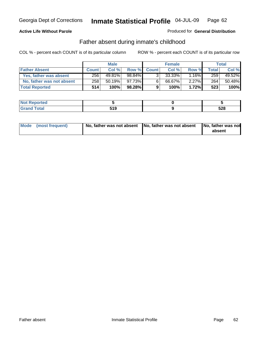### **Active Life Without Parole**

### Produced for **General Distribution**

## Father absent during inmate's childhood

|                           |              | <b>Male</b> |        |              | <b>Female</b> |          |       | Total  |
|---------------------------|--------------|-------------|--------|--------------|---------------|----------|-------|--------|
| <b>Father Absent</b>      | <b>Count</b> | Col %       | Row %  | <b>Count</b> | Col %         | Row %    | Total | Col %  |
| Yes, father was absent    | 256          | 49.81%      | 98.84% | 3.           | 33.33%        | 16%      | 259   | 49.52% |
| No, father was not absent | 258          | 50.19%      | 97.73% | 6            | 66.67%        | $2.27\%$ | 264   | 50.48% |
| <b>Total Reported</b>     | 514'         | 100%        | 98.28% | 9            | 100%          | 1.72%    | 523   | 100%   |

| <b>Not Reported</b>  |            |     |
|----------------------|------------|-----|
| <b>Cotal</b><br>Cran | -40<br>- 9 | 528 |

| Mode (most frequent) |  | 「No, father was not absent ┃No, father was not absent ┃No, father was not | absent |
|----------------------|--|---------------------------------------------------------------------------|--------|
|----------------------|--|---------------------------------------------------------------------------|--------|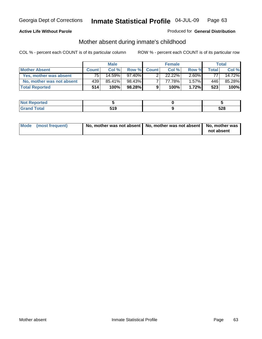### **Active Life Without Parole**

### Produced for **General Distribution**

# Mother absent during inmate's childhood

|                           |              | <b>Male</b> |        |              | <b>Female</b>        |          |       | Total  |
|---------------------------|--------------|-------------|--------|--------------|----------------------|----------|-------|--------|
| <b>Mother Absent</b>      | <b>Count</b> | Col%        | Row %  | <b>Count</b> | Col %                | Row %    | Total | Col %  |
| Yes, mother was absent    | 75           | 14.59%      | 97.40% |              | $22.\overline{22\%}$ | $2.60\%$ | 77    | 14.72% |
| No, mother was not absent | 439          | 85.41%      | 98.43% |              | 77.78%               | $1.57\%$ | 446   | 85.28% |
| <b>Total Reported</b>     | 514          | 100%        | 98.28% | 9            | 100%                 | $1.72\%$ | 523   | 100%   |

| <b>Not Reported</b>   |            |     |
|-----------------------|------------|-----|
| <b>Total</b><br>Grano | 540<br>JIJ | 528 |

| Mode (most frequent) | No, mother was not absent   No, mother was not absent   No, mother was | not absent |
|----------------------|------------------------------------------------------------------------|------------|
|----------------------|------------------------------------------------------------------------|------------|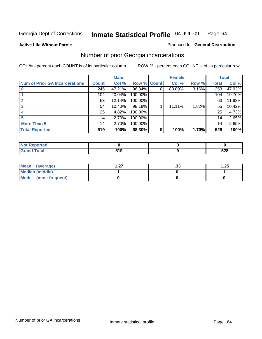**Active Life Without Parole** 

### Produced for **General Distribution**

## Number of prior Georgia incarcerations

|                                |              | <b>Male</b> |                    |   | <b>Female</b> |       |       | <b>Total</b> |
|--------------------------------|--------------|-------------|--------------------|---|---------------|-------|-------|--------------|
| Num of Prior GA Incarcerations | <b>Count</b> | Col %       | <b>Row % Count</b> |   | Col %         | Row % | Total | Col %        |
|                                | 245          | 47.21%      | 96.84%             | 8 | 88.89%        | 3.16% | 253   | 47.92%       |
|                                | 104          | 20.04%      | 100.00%            |   |               |       | 104   | 19.70%       |
|                                | 63           | 12.14%      | 100.00%            |   |               |       | 63    | 11.93%       |
|                                | 54           | 10.40%      | 98.18%             |   | 11.11%        | 1.82% | 55    | 10.42%       |
|                                | 25           | 4.82%       | 100.00%            |   |               |       | 25    | 4.73%        |
|                                | 14           | 2.70%       | 100.00%            |   |               |       | 14    | 2.65%        |
| <b>More Than 5</b>             | 14           | 2.70%       | 100.00%            |   |               |       | 14    | 2.65%        |
| <b>Total Reported</b>          | 519          | 100%        | 98.30%             | 9 | 100%          | 1.70% | 528   | 100%         |

| Reported<br>NOT         |              |            |
|-------------------------|--------------|------------|
| <b>otal</b><br>$\sim$ . | .<br>. .<br> | よつの<br>ാ∠ഠ |

| Mean (average)       | - 27 | . JJ | 1.25 |
|----------------------|------|------|------|
| Median (middle)      |      |      |      |
| Mode (most frequent) |      |      |      |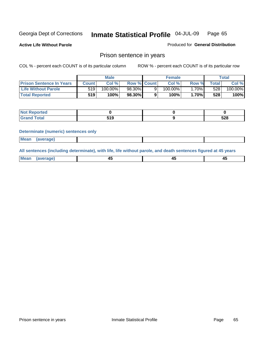**Active Life Without Parole** 

Produced for **General Distribution**

## Prison sentence in years

COL % - percent each COUNT is of its particular column ROW % - percent each COUNT is of its particular row

|                                 |         | <b>Male</b> |                    | <b>Female</b> |              |             | Total   |
|---------------------------------|---------|-------------|--------------------|---------------|--------------|-------------|---------|
| <b>Prison Sentence In Years</b> | Count l | Col%        | <b>Row % Count</b> | Col%          | Row %        | $\tau$ otal | Col %   |
| Life Without Parole             | 519     | 100.00%     | 98.30%             | 100.00%       | 70% <b>I</b> | 528         | 100.00% |
| <b>Total Reported</b>           | 519     | 100%        | 98.30%             | 100%          | 1.70%        | 528         | 100%    |

| Reported                     |           |     |
|------------------------------|-----------|-----|
| <b>Total</b><br>$\sim$ ı and | 54 N<br>. | 528 |

### **Determinate (numeric) sentences only**

|--|

**All sentences (including determinate), with life, life without parole, and death sentences figured at 45 years**

| Me:<br>апет<br>.<br>᠇<br>$\sim$ | -- | т.<br>$\sim$ |
|---------------------------------|----|--------------|
|---------------------------------|----|--------------|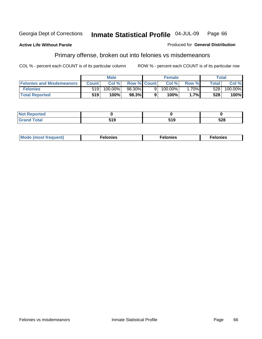### **Active Life Without Parole**

### Produced for **General Distribution**

## Primary offense, broken out into felonies vs misdemeanors

|                                  | <b>Male</b>  |         |                    |    | <b>Female</b> | Total    |        |                       |
|----------------------------------|--------------|---------|--------------------|----|---------------|----------|--------|-----------------------|
| <b>Felonies and Misdemeanors</b> | <b>Count</b> | Col%    | <b>Row % Count</b> |    | Col%          | Row %    | Total. | Col %                 |
| <b>Felonies</b>                  | 519          | 100.00% | 98.30%             | 91 | 100.00%       | $1.70\%$ | 5281   | $100.\overline{00\%}$ |
| <b>Total Reported</b>            | 519          | 100%    | 98.3%              |    | 100%          | 1.7%     | 528    | 100%                  |

| <b>Not Reported</b>   |   |     |     |
|-----------------------|---|-----|-----|
| <b>Total</b><br>Grand | . | . . | 528 |

| M <sub>0</sub><br>. | צאור<br>. | . |
|---------------------|-----------|---|
|---------------------|-----------|---|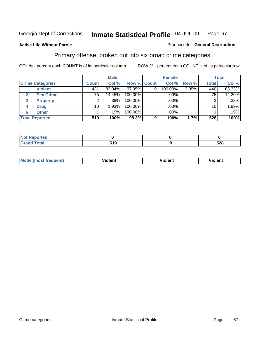### **Active Life Without Parole**

### Produced for **General Distribution**

## Primary offense, broken out into six broad crime categories

|                         | <b>Male</b>     |        |                    | <b>Female</b> |         |       | <b>Total</b>    |        |
|-------------------------|-----------------|--------|--------------------|---------------|---------|-------|-----------------|--------|
| <b>Crime Categories</b> | <b>Count</b>    | Col %  | <b>Row % Count</b> |               | Col %   | Row % | <b>Total</b>    | Col %  |
| <b>Violent</b>          | 431             | 83.04% | 97.95%             | 9             | 100.00% | 2.05% | 440             | 83.33% |
| <b>Sex Crime</b>        | 75 <sub>1</sub> | 14.45% | 100.00%            |               | .00%    |       | 75 <sub>1</sub> | 14.20% |
| <b>Property</b><br>3    | 2               | .39%   | 100.00%            |               | .00%    |       |                 | .38%   |
| <b>Drug</b><br>4        | 10              | 1.93%  | 100.00%            |               | .00%    |       | 10 <sub>1</sub> | 1.89%  |
| <b>Other</b><br>6       |                 | .19%   | 100.00%            |               | .00%    |       |                 | .19%   |
| <b>Total Reported</b>   | 519             | 100%   | 98.3%              | 9             | 100%    | 1.7%  | 528             | 100%   |

| <b>Reported</b><br>$\sim$      |            |     |
|--------------------------------|------------|-----|
| <b>Total</b><br><b>U</b> ldliu | .<br>ט ו ט | 528 |

| Mc | - - | 'חםור |  |
|----|-----|-------|--|
|    |     |       |  |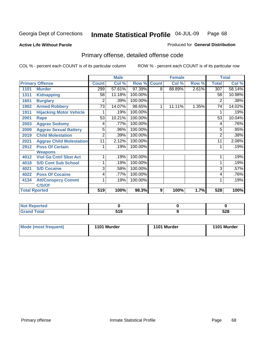### **Active Life Without Parole**

### Produced for **General Distribution**

# Primary offense, detailed offense code

|      |                                 |              | <b>Male</b> |         |              | <b>Female</b> |       |              | <b>Total</b> |
|------|---------------------------------|--------------|-------------|---------|--------------|---------------|-------|--------------|--------------|
|      | <b>Primary Offense</b>          | <b>Count</b> | Col %       | Row %   | <b>Count</b> | Col %         | Row % | <b>Total</b> | Col %        |
| 1101 | <b>Murder</b>                   | 299          | 57.61%      | 97.39%  | 8            | 88.89%        | 2.61% | 307          | 58.14%       |
| 1311 | <b>Kidnapping</b>               | 58           | 11.18%      | 100.00% |              |               |       | 58           | 10.98%       |
| 1601 | <b>Burglary</b>                 | 2            | .39%        | 100.00% |              |               |       | 2            | .38%         |
| 1902 | <b>Armed Robbery</b>            | 73           | 14.07%      | 98.65%  | 1            | 11.11%        | 1.35% | 74           | 14.02%       |
| 1911 | <b>Hijacking Motor Vehicle</b>  |              | .19%        | 100.00% |              |               |       |              | .19%         |
| 2001 | Rape                            | 53           | 10.21%      | 100.00% |              |               |       | 53           | 10.04%       |
| 2003 | <b>Aggrav Sodomy</b>            | 4            | .77%        | 100.00% |              |               |       | 4            | .76%         |
| 2009 | <b>Aggrav Sexual Battery</b>    | 5            | .96%        | 100.00% |              |               |       | 5            | .95%         |
| 2019 | <b>Child Molestation</b>        | 2            | .39%        | 100.00% |              |               |       | 2            | .38%         |
| 2021 | <b>Aggrav Child Molestation</b> | 11           | 2.12%       | 100.00% |              |               |       | 11           | 2.08%        |
| 2912 | <b>Poss Of Certain</b>          |              | .19%        | 100.00% |              |               |       |              | .19%         |
|      | <b>Weapons</b>                  |              |             |         |              |               |       |              |              |
| 4012 | <b>Viol Ga Cntrl Sbst Act</b>   |              | .19%        | 100.00% |              |               |       |              | .19%         |
| 4018 | <b>S/D Cont Sub School</b>      |              | .19%        | 100.00% |              |               |       |              | .19%         |
| 4021 | <b>S/D Cocaine</b>              | 3            | .58%        | 100.00% |              |               |       | 3            | .57%         |
| 4022 | <b>Poss Of Cocaine</b>          | 4            | .77%        | 100.00% |              |               |       | 4            | .76%         |
| 4134 | <b>Att/Consprcy Commt</b>       | 1            | .19%        | 100.00% |              |               |       |              | .19%         |
|      | C/S/Of                          |              |             |         |              |               |       |              |              |
|      | <b>Total Rported</b>            | 519          | 100%        | 98.3%   | 9            | 100%          | 1.7%  | 528          | 100%         |

| <b>Not Reported</b> |                   |            |
|---------------------|-------------------|------------|
| <b>Total</b>        | E 4 C<br>ີ<br>. . | cno<br>ว∠๐ |

| Mode (most frequent) | 1101 Murder | 1101 Murder | 1101 Murder |
|----------------------|-------------|-------------|-------------|
|----------------------|-------------|-------------|-------------|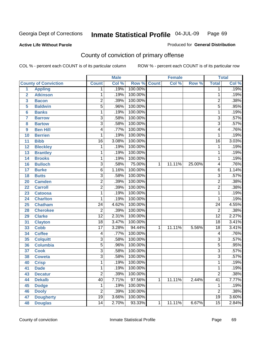### **Active Life Without Parole**

### Produced for **General Distribution**

# County of conviction of primary offense

|                         |                             |                 |       | <b>Male</b><br><b>Female</b><br><b>Total</b> |                |        |        |                 |                            |
|-------------------------|-----------------------------|-----------------|-------|----------------------------------------------|----------------|--------|--------|-----------------|----------------------------|
|                         | <b>County of Conviction</b> | <b>Count</b>    | Col % | Row %                                        | <b>Count</b>   | Col %  | Row %  | <b>Total</b>    | $\overline{\text{Col }\%}$ |
| 1                       | <b>Appling</b>              | 1               | .19%  | 100.00%                                      |                |        |        | 1               | .19%                       |
| $\overline{2}$          | <b>Atkinson</b>             | 1               | .19%  | 100.00%                                      |                |        |        | 1               | .19%                       |
| $\overline{\mathbf{3}}$ | <b>Bacon</b>                | $\overline{2}$  | .39%  | 100.00%                                      |                |        |        | $\overline{2}$  | .38%                       |
| 5                       | <b>Baldwin</b>              | $\overline{5}$  | .96%  | 100.00%                                      |                |        |        | $\overline{5}$  | .95%                       |
| 6                       | <b>Banks</b>                | 1               | .19%  | 100.00%                                      |                |        |        | $\mathbf{1}$    | .19%                       |
| $\overline{7}$          | <b>Barrow</b>               | $\overline{3}$  | .58%  | 100.00%                                      |                |        |        | $\overline{3}$  | .57%                       |
| 8                       | <b>Bartow</b>               | $\overline{3}$  | .58%  | 100.00%                                      |                |        |        | $\overline{3}$  | .57%                       |
| 9                       | <b>Ben Hill</b>             | 4               | .77%  | 100.00%                                      |                |        |        | 4               | .76%                       |
| 10                      | <b>Berrien</b>              | 1               | .19%  | 100.00%                                      |                |        |        | 1               | .19%                       |
| 11                      | <b>Bibb</b>                 | $\overline{16}$ | 3.08% | 100.00%                                      |                |        |        | $\overline{16}$ | 3.03%                      |
| 12                      | <b>Bleckley</b>             | 1               | .19%  | 100.00%                                      |                |        |        | $\mathbf{1}$    | .19%                       |
| 13                      | <b>Brantley</b>             | 1               | .19%  | 100.00%                                      |                |        |        | $\mathbf{1}$    | .19%                       |
| 14                      | <b>Brooks</b>               | 1               | .19%  | 100.00%                                      |                |        |        | $\mathbf{1}$    | .19%                       |
| 16                      | <b>Bulloch</b>              | $\overline{3}$  | .58%  | 75.00%                                       | 1              | 11.11% | 25.00% | 4               | .76%                       |
| 17                      | <b>Burke</b>                | $\overline{6}$  | 1.16% | 100.00%                                      |                |        |        | $\overline{6}$  | 1.14%                      |
| 18                      | <b>Butts</b>                | $\overline{3}$  | .58%  | 100.00%                                      |                |        |        | $\overline{3}$  | .57%                       |
| 20                      | <b>Camden</b>               | $\overline{2}$  | .39%  | 100.00%                                      |                |        |        | $\overline{2}$  | .38%                       |
| 22                      | <b>Carroll</b>              | $\overline{2}$  | .39%  | 100.00%                                      |                |        |        | $\overline{2}$  | .38%                       |
| 23                      | <b>Catoosa</b>              | 1               | .19%  | 100.00%                                      |                |        |        | $\mathbf{1}$    | .19%                       |
| 24                      | <b>Charlton</b>             | 1               | .19%  | 100.00%                                      |                |        |        | 1               | .19%                       |
| 25                      | <b>Chatham</b>              | $\overline{24}$ | 4.62% | 100.00%                                      |                |        |        | $\overline{24}$ | 4.55%                      |
| 28                      | <b>Cherokee</b>             | $\overline{2}$  | .39%  | 100.00%                                      |                |        |        | $\overline{2}$  | .38%                       |
| 29                      | <b>Clarke</b>               | $\overline{12}$ | 2.31% | 100.00%                                      |                |        |        | $\overline{12}$ | 2.27%                      |
| 31                      | <b>Clayton</b>              | $\overline{18}$ | 3.47% | 100.00%                                      |                |        |        | $\overline{18}$ | 3.41%                      |
| 33                      | <b>Cobb</b>                 | $\overline{17}$ | 3.28% | 94.44%                                       | 1              | 11.11% | 5.56%  | $\overline{18}$ | 3.41%                      |
| 34                      | <b>Coffee</b>               | 4               | .77%  | 100.00%                                      |                |        |        | 4               | .76%                       |
| 35                      | <b>Colquitt</b>             | $\overline{3}$  | .58%  | 100.00%                                      |                |        |        | $\overline{3}$  | .57%                       |
| 36                      | <b>Columbia</b>             | $\overline{5}$  | .96%  | 100.00%                                      |                |        |        | $\overline{5}$  | .95%                       |
| 37                      | <b>Cook</b>                 | $\overline{3}$  | .58%  | 100.00%                                      |                |        |        | $\overline{3}$  | .57%                       |
| 38                      | <b>Coweta</b>               | $\overline{3}$  | .58%  | 100.00%                                      |                |        |        | $\overline{3}$  | .57%                       |
| 40                      | <b>Crisp</b>                | 1               | .19%  | 100.00%                                      |                |        |        | 1               | .19%                       |
| 41                      | <b>Dade</b>                 | 1               | .19%  | 100.00%                                      |                |        |        | 1               | .19%                       |
| 43                      | <b>Decatur</b>              | $\overline{2}$  | .39%  | 100.00%                                      |                |        |        | $\overline{2}$  | .38%                       |
| 44                      | <b>Dekalb</b>               | 40              | 7.71% | 97.56%                                       | $\mathbf{1}$   | 11.11% | 2.44%  | $\overline{41}$ | 7.77%                      |
| 45                      | <b>Dodge</b>                | 1               | .19%  | 100.00%                                      |                |        |        | 1               | .19%                       |
| 46                      | <b>Dooly</b>                | $\overline{2}$  | .39%  | 100.00%                                      |                |        |        | $\overline{2}$  | .38%                       |
| 47                      | <b>Dougherty</b>            | $\overline{19}$ | 3.66% | 100.00%                                      |                |        |        | $\overline{19}$ | 3.60%                      |
| 48                      | <b>Douglas</b>              | $\overline{14}$ | 2.70% | 93.33%                                       | $\overline{1}$ | 11.11% | 6.67%  | $\overline{15}$ | 2.84%                      |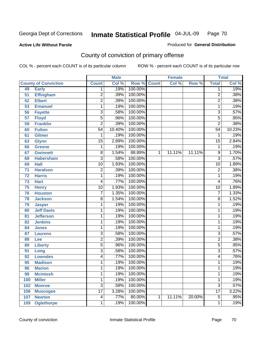Produced for **General Distribution**

### **Active Life Without Parole**

# County of conviction of primary offense

|                 |                             |                         | <b>Male</b> |                    |   | <b>Female</b> |        |                 | <b>Total</b> |
|-----------------|-----------------------------|-------------------------|-------------|--------------------|---|---------------|--------|-----------------|--------------|
|                 | <b>County of Conviction</b> | <b>Count</b>            | Col %       | <b>Row % Count</b> |   | Col %         | Row %  | <b>Total</b>    | Col %        |
| 49              | <b>Early</b>                | 1                       | .19%        | 100.00%            |   |               |        | 1               | .19%         |
| 51              | <b>Effingham</b>            | $\overline{2}$          | .39%        | 100.00%            |   |               |        | $\overline{2}$  | .38%         |
| 52              | <b>Elbert</b>               | $\overline{2}$          | .39%        | 100.00%            |   |               |        | $\overline{2}$  | .38%         |
| 53              | <b>Emanuel</b>              | 1                       | .19%        | 100.00%            |   |               |        | 1               | .19%         |
| 56              | <b>Fayette</b>              | 3                       | .58%        | 100.00%            |   |               |        | $\overline{3}$  | .57%         |
| $\overline{57}$ | <b>Floyd</b>                | 5                       | .96%        | 100.00%            |   |               |        | 5               | .95%         |
| 59              | <b>Franklin</b>             | $\overline{2}$          | .39%        | 100.00%            |   |               |        | $\overline{2}$  | .38%         |
| 60              | <b>Fulton</b>               | $\overline{54}$         | 10.40%      | 100.00%            |   |               |        | $\overline{54}$ | 10.23%       |
| 61              | Gilmer                      | 1                       | .19%        | 100.00%            |   |               |        | 1               | .19%         |
| 63              | <b>Glynn</b>                | $\overline{15}$         | 2.89%       | 100.00%            |   |               |        | $\overline{15}$ | 2.84%        |
| 66              | <b>Greene</b>               | 1                       | .19%        | 100.00%            |   |               |        | 1               | .19%         |
| 67              | <b>Gwinnett</b>             | 8                       | 1.54%       | 88.89%             | 1 | 11.11%        | 11.11% | 9               | 1.70%        |
| 68              | <b>Habersham</b>            | $\overline{3}$          | .58%        | 100.00%            |   |               |        | $\overline{3}$  | .57%         |
| 69              | <b>Hall</b>                 | $\overline{10}$         | 1.93%       | 100.00%            |   |               |        | $\overline{10}$ | 1.89%        |
| 71              | <b>Haralson</b>             | $\overline{c}$          | .39%        | 100.00%            |   |               |        | $\overline{2}$  | .38%         |
| 72              | <b>Harris</b>               | 1                       | .19%        | 100.00%            |   |               |        | 1               | .19%         |
| 73              | <b>Hart</b>                 | 4                       | .77%        | 100.00%            |   |               |        | 4               | .76%         |
| 75              | <b>Henry</b>                | $\overline{10}$         | 1.93%       | 100.00%            |   |               |        | 10              | 1.89%        |
| 76              | <b>Houston</b>              | 7                       | 1.35%       | 100.00%            |   |               |        | 7               | 1.33%        |
| 78              | <b>Jackson</b>              | 8                       | 1.54%       | 100.00%            |   |               |        | 8               | 1.52%        |
| 79              | <b>Jasper</b>               | 1                       | .19%        | 100.00%            |   |               |        | 1               | .19%         |
| 80              | <b>Jeff Davis</b>           | 1                       | .19%        | 100.00%            |   |               |        | 1               | .19%         |
| 81              | <b>Jefferson</b>            | 1                       | .19%        | 100.00%            |   |               |        | 1               | .19%         |
| 82              | <b>Jenkins</b>              | 1                       | .19%        | 100.00%            |   |               |        | 1               | .19%         |
| 84              | <b>Jones</b>                | 1                       | .19%        | 100.00%            |   |               |        | 1               | .19%         |
| 87              | <b>Laurens</b>              | $\overline{3}$          | .58%        | 100.00%            |   |               |        | 3               | .57%         |
| 88              | Lee                         | $\overline{2}$          | .39%        | 100.00%            |   |               |        | $\overline{2}$  | .38%         |
| 89              | <b>Liberty</b>              | $\overline{5}$          | .96%        | 100.00%            |   |               |        | $\overline{5}$  | .95%         |
| 91              | Long                        | 3                       | .58%        | 100.00%            |   |               |        | $\overline{3}$  | .57%         |
| 92              | <b>Lowndes</b>              | 4                       | .77%        | 100.00%            |   |               |        | 4               | .76%         |
| 95              | <b>Madison</b>              | 1                       | .19%        | 100.00%            |   |               |        | 1               | .19%         |
| 96              | <b>Marion</b>               | 1                       | .19%        | 100.00%            |   |               |        | 1               | .19%         |
| 98              | <b>Mcintosh</b>             | 1                       | .19%        | 100.00%            |   |               |        | 1               | .19%         |
| 100             | <b>Miller</b>               | 1                       | .19%        | 100.00%            |   |               |        | 1               | .19%         |
| 102             | <b>Monroe</b>               | $\overline{3}$          | .58%        | 100.00%            |   |               |        | $\overline{3}$  | .57%         |
| 106             | <b>Muscogee</b>             | $\overline{17}$         | 3.28%       | 100.00%            |   |               |        | $\overline{17}$ | 3.22%        |
| 107             | <b>Newton</b>               | $\overline{\mathbf{4}}$ | .77%        | 80.00%             | 1 | 11.11%        | 20.00% | $\overline{5}$  | .95%         |
| 109             | <b>Oglethorpe</b>           | 1                       | .19%        | 100.00%            |   |               |        | 1               | .19%         |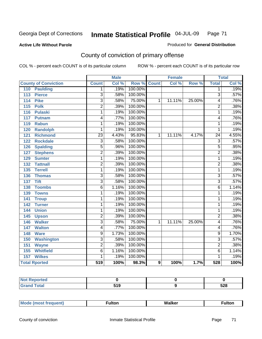### **Active Life Without Parole**

### Produced for **General Distribution**

# County of conviction of primary offense

|                                    | <b>Male</b>             |       | <b>Female</b> |              |        | <b>Total</b> |                 |       |
|------------------------------------|-------------------------|-------|---------------|--------------|--------|--------------|-----------------|-------|
| <b>County of Conviction</b>        | <b>Count</b>            | Col % | Row %         | <b>Count</b> | Col %  | Row %        | <b>Total</b>    | Col % |
| 110<br><b>Paulding</b>             | 1                       | .19%  | 100.00%       |              |        |              | 1               | .19%  |
| $\overline{113}$<br><b>Pierce</b>  | $\overline{3}$          | .58%  | 100.00%       |              |        |              | $\overline{3}$  | .57%  |
| <b>Pike</b><br>114                 | $\overline{3}$          | .58%  | 75.00%        | 1            | 11.11% | 25.00%       | 4               | .76%  |
| $\overline{115}$<br><b>Polk</b>    | $\overline{2}$          | .39%  | 100.00%       |              |        |              | $\overline{2}$  | .38%  |
| 116<br><b>Pulaski</b>              | 1                       | .19%  | 100.00%       |              |        |              | $\overline{1}$  | .19%  |
| $\frac{117}{117}$<br><b>Putnam</b> | 4                       | .77%  | 100.00%       |              |        |              | 4               | .76%  |
| 119<br><b>Rabun</b>                | 1                       | .19%  | 100.00%       |              |        |              | 1               | .19%  |
| <b>Randolph</b><br>120             | 1                       | .19%  | 100.00%       |              |        |              | 1               | .19%  |
| 121<br><b>Richmond</b>             | $\overline{23}$         | 4.43% | 95.83%        | 1            | 11.11% | 4.17%        | $\overline{24}$ | 4.55% |
| <b>Rockdale</b><br>122             | $\overline{3}$          | .58%  | 100.00%       |              |        |              | $\overline{3}$  | .57%  |
| <b>Spalding</b><br>126             | $\overline{5}$          | .96%  | 100.00%       |              |        |              | $\overline{5}$  | .95%  |
| <b>Stephens</b><br>127             | $\overline{2}$          | .39%  | 100.00%       |              |        |              | $\overline{2}$  | .38%  |
| 129<br><b>Sumter</b>               | 1                       | .19%  | 100.00%       |              |        |              | 1               | .19%  |
| <b>Tattnall</b><br>132             | $\overline{2}$          | .39%  | 100.00%       |              |        |              | $\overline{2}$  | .38%  |
| <b>Terrell</b><br>135              | 1                       | .19%  | 100.00%       |              |        |              | 1               | .19%  |
| 136<br><b>Thomas</b>               | $\overline{3}$          | .58%  | 100.00%       |              |        |              | $\overline{3}$  | .57%  |
| <b>Tift</b><br>$\overline{137}$    | $\overline{3}$          | .58%  | 100.00%       |              |        |              | $\overline{3}$  | .57%  |
| <b>Toombs</b><br>138               | $\overline{6}$          | 1.16% | 100.00%       |              |        |              | $\overline{6}$  | 1.14% |
| 139<br><b>Towns</b>                | 1                       | .19%  | 100.00%       |              |        |              | 1               | .19%  |
| 141<br><b>Troup</b>                | 1                       | .19%  | 100.00%       |              |        |              | 1               | .19%  |
| 142<br><b>Turner</b>               | 1                       | .19%  | 100.00%       |              |        |              | 1               | .19%  |
| <b>Union</b><br>144                | 1                       | .19%  | 100.00%       |              |        |              | 1               | .19%  |
| 145<br><b>Upson</b>                | $\overline{2}$          | .39%  | 100.00%       |              |        |              | $\overline{2}$  | .38%  |
| <b>Walker</b><br>146               | $\overline{3}$          | .58%  | 75.00%        | 1            | 11.11% | 25.00%       | 4               | .76%  |
| 147<br><b>Walton</b>               | 4                       | .77%  | 100.00%       |              |        |              | 4               | .76%  |
| <b>Ware</b><br>148                 | 9                       | 1.73% | 100.00%       |              |        |              | 9               | 1.70% |
| <b>Washington</b><br>150           | $\overline{\mathbf{3}}$ | .58%  | 100.00%       |              |        |              | $\overline{3}$  | .57%  |
| 151<br><b>Wayne</b>                | $\overline{2}$          | .39%  | 100.00%       |              |        |              | $\overline{2}$  | .38%  |
| 155<br><b>Whitfield</b>            | $\overline{6}$          | 1.16% | 100.00%       |              |        |              | $\overline{6}$  | 1.14% |
| <b>Wilkes</b><br>157               | 1                       | .19%  | 100.00%       |              |        |              | 1               | .19%  |
| <b>Total Rported</b>               | 519                     | 100%  | 98.3%         | 9            | 100%   | 1.7%         | 528             | 100%  |

| <b>Not Reported</b> |     |     |  |
|---------------------|-----|-----|--|
| <b>Total</b>        | 519 | 528 |  |

| ________ |
|----------|
|----------|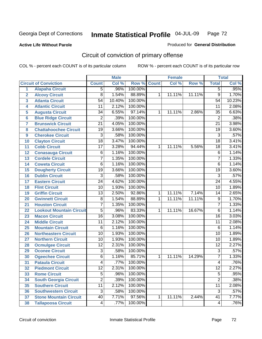### **Active Life Without Parole**

### Produced for **General Distribution**

# Circuit of conviction of primary offense

|                         |                                 | <b>Male</b>     |        | <b>Female</b> |              |        | <b>Total</b> |                 |        |
|-------------------------|---------------------------------|-----------------|--------|---------------|--------------|--------|--------------|-----------------|--------|
|                         | <b>Circuit of Conviction</b>    | <b>Count</b>    | Col %  | Row %         | <b>Count</b> | Col %  | Row %        | <b>Total</b>    | Col %  |
| 1                       | <b>Alapaha Circuit</b>          | $\overline{5}$  | .96%   | 100.00%       |              |        |              | 5               | .95%   |
| $\overline{2}$          | <b>Alcovy Circuit</b>           | $\overline{8}$  | 1.54%  | 88.89%        | 1            | 11.11% | 11.11%       | $\overline{9}$  | 1.70%  |
| $\overline{\mathbf{3}}$ | <b>Atlanta Circuit</b>          | $\overline{54}$ | 10.40% | 100.00%       |              |        |              | $\overline{54}$ | 10.23% |
| 4                       | <b>Atlantic Circuit</b>         | 11              | 2.12%  | 100.00%       |              |        |              | 11              | 2.08%  |
| 5                       | <b>Augusta Circuit</b>          | $\overline{34}$ | 6.55%  | 97.14%        | 1            | 11.11% | 2.86%        | $\overline{35}$ | 6.63%  |
| $6\phantom{a}$          | <b>Blue Ridge Circuit</b>       | $\overline{2}$  | .39%   | 100.00%       |              |        |              | $\overline{2}$  | .38%   |
| $\overline{\mathbf{7}}$ | <b>Brunswick Circuit</b>        | $\overline{21}$ | 4.05%  | 100.00%       |              |        |              | $\overline{21}$ | 3.98%  |
| 8                       | <b>Chattahoochee Circuit</b>    | $\overline{19}$ | 3.66%  | 100.00%       |              |        |              | $\overline{19}$ | 3.60%  |
| 9                       | <b>Cherokee Circuit</b>         | $\overline{3}$  | .58%   | 100.00%       |              |        |              | $\overline{3}$  | .57%   |
| 10                      | <b>Clayton Circuit</b>          | $\overline{18}$ | 3.47%  | 100.00%       |              |        |              | $\overline{18}$ | 3.41%  |
| 11                      | <b>Cobb Circuit</b>             | 17              | 3.28%  | 94.44%        | 1            | 11.11% | 5.56%        | 18              | 3.41%  |
| 12                      | <b>Conasauga Circuit</b>        | 6               | 1.16%  | 100.00%       |              |        |              | $\overline{6}$  | 1.14%  |
| $\overline{13}$         | <b>Cordele Circuit</b>          | 7               | 1.35%  | 100.00%       |              |        |              | $\overline{7}$  | 1.33%  |
| 14                      | <b>Coweta Circuit</b>           | 6               | 1.16%  | 100.00%       |              |        |              | $\overline{6}$  | 1.14%  |
| 15                      | <b>Dougherty Circuit</b>        | $\overline{19}$ | 3.66%  | 100.00%       |              |        |              | $\overline{19}$ | 3.60%  |
| 16                      | <b>Dublin Circuit</b>           | $\overline{3}$  | .58%   | 100.00%       |              |        |              | $\overline{3}$  | .57%   |
| 17                      | <b>Eastern Circuit</b>          | $\overline{24}$ | 4.62%  | 100.00%       |              |        |              | 24              | 4.55%  |
| 18                      | <b>Flint Circuit</b>            | $\overline{10}$ | 1.93%  | 100.00%       |              |        |              | 10              | 1.89%  |
| 19                      | <b>Griffin Circuit</b>          | $\overline{13}$ | 2.50%  | 92.86%        | $\mathbf{1}$ | 11.11% | 7.14%        | 14              | 2.65%  |
| 20                      | <b>Gwinnett Circuit</b>         | $\overline{8}$  | 1.54%  | 88.89%        | 1            | 11.11% | 11.11%       | $\overline{9}$  | 1.70%  |
| 21                      | <b>Houston Circuit</b>          | 7               | 1.35%  | 100.00%       |              |        |              | $\overline{7}$  | 1.33%  |
| 22                      | <b>Lookout Mountain Circuit</b> | $\overline{5}$  | .96%   | 83.33%        | 1            | 11.11% | 16.67%       | $\overline{6}$  | 1.14%  |
| 23                      | <b>Macon Circuit</b>            | $\overline{16}$ | 3.08%  | 100.00%       |              |        |              | $\overline{16}$ | 3.03%  |
| 24                      | <b>Middle Circuit</b>           | 11              | 2.12%  | 100.00%       |              |        |              | $\overline{11}$ | 2.08%  |
| 25                      | <b>Mountain Circuit</b>         | 6               | 1.16%  | 100.00%       |              |        |              | $\overline{6}$  | 1.14%  |
| 26                      | <b>Northeastern Circuit</b>     | $\overline{10}$ | 1.93%  | 100.00%       |              |        |              | $\overline{10}$ | 1.89%  |
| 27                      | <b>Northern Circuit</b>         | 10              | 1.93%  | 100.00%       |              |        |              | 10              | 1.89%  |
| 28                      | <b>Ocmulgee Circuit</b>         | $\overline{12}$ | 2.31%  | 100.00%       |              |        |              | $\overline{12}$ | 2.27%  |
| 29                      | <b>Oconee Circuit</b>           | $\overline{3}$  | .58%   | 100.00%       |              |        |              | $\overline{3}$  | .57%   |
| 30                      | <b>Ogeechee Circuit</b>         | $\overline{6}$  | 1.16%  | 85.71%        | 1            | 11.11% | 14.29%       | $\overline{7}$  | 1.33%  |
| $\overline{31}$         | <b>Pataula Circuit</b>          | 4               | .77%   | 100.00%       |              |        |              | 4               | .76%   |
| 32                      | <b>Piedmont Circuit</b>         | 12              | 2.31%  | 100.00%       |              |        |              | 12              | 2.27%  |
| 33                      | <b>Rome Circuit</b>             | $\overline{5}$  | .96%   | 100.00%       |              |        |              | $\overline{5}$  | .95%   |
| 34                      | <b>South Georgia Circuit</b>    | $\overline{2}$  | .39%   | 100.00%       |              |        |              | $\overline{2}$  | .38%   |
| 35                      | <b>Southern Circuit</b>         | $\overline{11}$ | 2.12%  | 100.00%       |              |        |              | $\overline{11}$ | 2.08%  |
| 36                      | <b>Southwestern Circuit</b>     | $\overline{3}$  | .58%   | 100.00%       |              |        |              | $\overline{3}$  | .57%   |
| 37                      | <b>Stone Mountain Circuit</b>   | 40              | 7.71%  | 97.56%        | 1            | 11.11% | 2.44%        | $\overline{41}$ | 7.77%  |
| 38                      | <b>Tallapoosa Circuit</b>       | 4               | .77%   | 100.00%       |              |        |              | 4               | .76%   |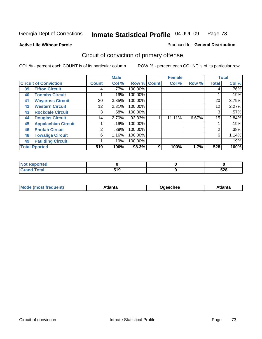**Active Life Without Parole** 

#### Produced for **General Distribution**

## Circuit of conviction of primary offense

|                      |                              |              | <b>Male</b> |         |              | <b>Female</b> |       |              | <b>Total</b> |  |
|----------------------|------------------------------|--------------|-------------|---------|--------------|---------------|-------|--------------|--------------|--|
|                      | <b>Circuit of Conviction</b> | <b>Count</b> | Col %       | Row %   | <b>Count</b> | Col %         | Row % | <b>Total</b> | Col %        |  |
| 39                   | <b>Tifton Circuit</b>        | 4            | $.77\%$     | 100.00% |              |               |       | 4            | $.76\%$      |  |
| 40                   | <b>Toombs Circuit</b>        |              | .19%        | 100.00% |              |               |       |              | .19%         |  |
| 41                   | <b>Waycross Circuit</b>      | 20           | 3.85%       | 100.00% |              |               |       | 20           | 3.79%        |  |
| 42                   | <b>Western Circuit</b>       | 12           | 2.31%       | 100.00% |              |               |       | 12           | 2.27%        |  |
| 43                   | <b>Rockdale Circuit</b>      | 3            | .58%        | 100.00% |              |               |       | 3            | .57%         |  |
| 44                   | <b>Douglas Circuit</b>       | 14           | 2.70%       | 93.33%  |              | 11.11%        | 6.67% | 15           | 2.84%        |  |
| 45                   | <b>Appalachian Circuit</b>   |              | .19%        | 100.00% |              |               |       |              | .19%         |  |
| 46                   | <b>Enotah Circuit</b>        | 2            | .39%        | 100.00% |              |               |       | 2            | .38%         |  |
| 48                   | <b>Towaliga Circuit</b>      | 6            | 1.16%       | 100.00% |              |               |       | 6            | 1.14%        |  |
| 49                   | <b>Paulding Circuit</b>      |              | .19%        | 100.00% |              |               |       |              | .19%         |  |
| <b>Total Rported</b> |                              | 519          | 100%        | 98.3%   | 9            | 100%          | 1.7%  | 528          | 100%         |  |

| тео  |                    |            |
|------|--------------------|------------|
| ota. | . .<br>JIJ<br>$ -$ | cna<br>ა∠ი |

| <b>Mo</b><br>$\blacksquare$<br>'rer<br>ו ואח | .tlantə | Jaeechee | \tlanta |
|----------------------------------------------|---------|----------|---------|
|----------------------------------------------|---------|----------|---------|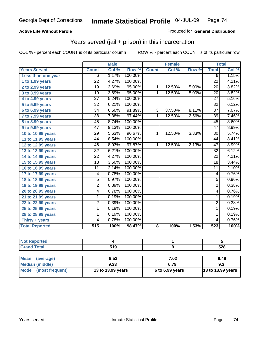### **Active Life Without Parole**

### Produced for **General Distribution**

## Years served (jail + prison) in this incarceration

|                       |                 | <b>Male</b> |         |                | <b>Female</b> |       | <b>Total</b>    |       |
|-----------------------|-----------------|-------------|---------|----------------|---------------|-------|-----------------|-------|
| <b>Years Served</b>   | <b>Count</b>    | Col %       | Row %   | <b>Count</b>   | Col %         | Row % | <b>Total</b>    | Col % |
| Less than one year    | 6               | 1.17%       | 100.00% |                |               |       | $\overline{6}$  | 1.15% |
| 1 to 1.99 years       | $\overline{22}$ | 4.27%       | 100.00% |                |               |       | $\overline{22}$ | 4.21% |
| 2 to 2.99 years       | $\overline{19}$ | 3.69%       | 95.00%  | $\mathbf{1}$   | 12.50%        | 5.00% | $\overline{20}$ | 3.82% |
| 3 to 3.99 years       | 19              | 3.69%       | 95.00%  | 1              | 12.50%        | 5.00% | 20              | 3.82% |
| 4 to 4.99 years       | $\overline{27}$ | 5.24%       | 100.00% |                |               |       | $\overline{27}$ | 5.16% |
| 5 to 5.99 years       | $\overline{32}$ | 6.21%       | 100.00% |                |               |       | $\overline{32}$ | 6.12% |
| 6 to 6.99 years       | $\overline{34}$ | 6.60%       | 91.89%  | $\overline{3}$ | 37.50%        | 8.11% | $\overline{37}$ | 7.07% |
| 7 to 7.99 years       | $\overline{38}$ | 7.38%       | 97.44%  | $\mathbf{1}$   | 12.50%        | 2.56% | $\overline{39}$ | 7.46% |
| 8 to 8.99 years       | $\overline{45}$ | 8.74%       | 100.00% |                |               |       | $\overline{45}$ | 8.60% |
| 9 to 9.99 years       | $\overline{47}$ | 9.13%       | 100.00% |                |               |       | $\overline{47}$ | 8.99% |
| 10 to 10.99 years     | 29              | 5.63%       | 96.67%  | 1              | 12.50%        | 3.33% | $\overline{30}$ | 5.74% |
| 11 to 11.99 years     | 44              | 8.54%       | 100.00% |                |               |       | 44              | 8.41% |
| 12 to 12.99 years     | 46              | 8.93%       | 97.87%  | $\mathbf{1}$   | 12.50%        | 2.13% | $\overline{47}$ | 8.99% |
| 13 to 13.99 years     | $\overline{32}$ | 6.21%       | 100.00% |                |               |       | $\overline{32}$ | 6.12% |
| 14 to 14.99 years     | $\overline{22}$ | 4.27%       | 100.00% |                |               |       | 22              | 4.21% |
| 15 to 15.99 years     | $\overline{18}$ | 3.50%       | 100.00% |                |               |       | $\overline{18}$ | 3.44% |
| 16 to 16.99 years     | 11              | 2.14%       | 100.00% |                |               |       | $\overline{11}$ | 2.10% |
| 17 to 17.99 years     | 4               | 0.78%       | 100.00% |                |               |       | 4               | 0.76% |
| 18 to 18.99 years     | $\overline{5}$  | 0.97%       | 100.00% |                |               |       | $\overline{5}$  | 0.96% |
| 19 to 19.99 years     | $\overline{2}$  | 0.39%       | 100.00% |                |               |       | $\overline{2}$  | 0.38% |
| 20 to 20.99 years     | 4               | 0.78%       | 100.00% |                |               |       | 4               | 0.76% |
| 21 to 21.99 years     | 1               | 0.19%       | 100.00% |                |               |       | $\mathbf 1$     | 0.19% |
| 22 to 22.99 years     | $\overline{2}$  | 0.39%       | 100.00% |                |               |       | $\overline{2}$  | 0.38% |
| 25 to 25.99 years     | $\overline{1}$  | 0.19%       | 100.00% |                |               |       | $\mathbf{1}$    | 0.19% |
| 28 to 28.99 years     | 1               | 0.19%       | 100.00% |                |               |       | 1               | 0.19% |
| Thirty + years        | 4               | 0.78%       | 100.00% |                |               |       | 4               | 0.76% |
| <b>Total Reported</b> | 515             | 100%        | 98.47%  | 8              | 100%          | 1.53% | 523             | 100%  |

| <b>Not Reported</b>            |                   |                 |                   |
|--------------------------------|-------------------|-----------------|-------------------|
| <b>Grand Total</b>             | 519               |                 | 528               |
|                                |                   |                 |                   |
| <b>Mean</b><br>(average)       | 9.53              | 7.02            | 9.49              |
| <b>Median (middle)</b>         | 9.33              | 6.79            | 9.3               |
| <b>Mode</b><br>(most frequent) | 13 to 13.99 years | 6 to 6.99 years | 13 to 13.99 years |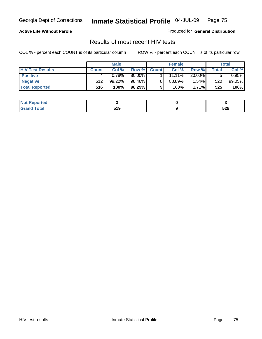### **Active Life Without Parole**

Produced for **General Distribution**

### Results of most recent HIV tests

|                         | <b>Male</b>  |        | <b>Female</b> |              |        | Total    |       |          |
|-------------------------|--------------|--------|---------------|--------------|--------|----------|-------|----------|
| <b>HIV Test Results</b> | <b>Count</b> | Col %  | Row %         | <b>Count</b> | Col %  | Row %    | Total | Col %    |
| <b>Positive</b>         |              | 0.78%  | 80.00%        |              | 11.11% | 20.00%   |       | $0.95\%$ |
| <b>Negative</b>         | 512          | 99.22% | 98.46%        |              | 88.89% | 1.54%    | 520   | 99.05%   |
| <b>Total Reported</b>   | 516          | 100%   | 98.29%        |              | 100%   | $1.71\%$ | 525   | 100%     |

| <b>Not Reported</b> |     |     |
|---------------------|-----|-----|
| <b>Fotal</b>        | 540 | EOO |
| Grr                 | JIJ | ა∠ი |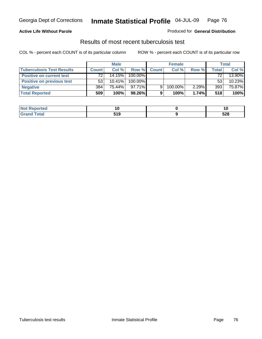### **Active Life Without Parole**

#### Produced for **General Distribution**

### Results of most recent tuberculosis test

|                                  | <b>Male</b>  |           | <b>Female</b> |              |         | Total |       |        |
|----------------------------------|--------------|-----------|---------------|--------------|---------|-------|-------|--------|
| <b>Tuberculosis Test Results</b> | <b>Count</b> | Col%      | Row %         | <b>Count</b> | Col%    | Row % | Total | Col %  |
| <b>Positive on current test</b>  | 72           | 14.15%    | 100.00%       |              |         |       | 72    | 13.90% |
| <b>Positive on previous test</b> | 53           | $10.41\%$ | 100.00%       |              |         |       | 53    | 10.23% |
| <b>Negative</b>                  | 384          | 75.44%    | $97.71\%$     | 9            | 100.00% | 2.29% | 393   | 75.87% |
| <b>Total Reported</b>            | 509          | 100%      | 98.26%        |              | 100%    | 1.74% | 518   | 100%   |

| Reported<br><b>NOT</b> | 14          |     |
|------------------------|-------------|-----|
| <b>c</b> otal          | 64 O<br>JIJ | 528 |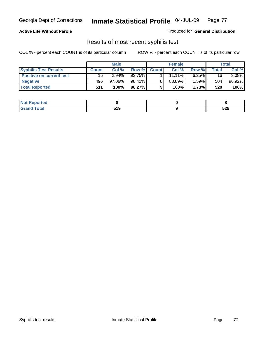### **Active Life Without Parole**

Produced for **General Distribution**

### Results of most recent syphilis test

|                                 | <b>Male</b>  |           | <b>Female</b> |              |           | Total    |        |        |
|---------------------------------|--------------|-----------|---------------|--------------|-----------|----------|--------|--------|
| <b>Syphilis Test Results</b>    | <b>Count</b> | Col %     | Row %         | <b>Count</b> | Col %     | Row %    | Total. | Col %  |
| <b>Positive on current test</b> | 15           | $2.94\%$  | 93.75%        |              | $11.11\%$ | $6.25\%$ | 16     | 3.08%  |
| <b>Negative</b>                 | 496          | $97.06\%$ | 98.41%        |              | 88.89%    | 1.59%∎   | 504    | 96.92% |
| <b>Total Reported</b>           | 511          | 100%      | 98.27%        |              | 100%      | 1.73%    | 520    | 100%   |

| <b>Not Reported</b> |            |            |
|---------------------|------------|------------|
| <b>Total</b>        | 540<br>JIJ | cno<br>ວ∠໐ |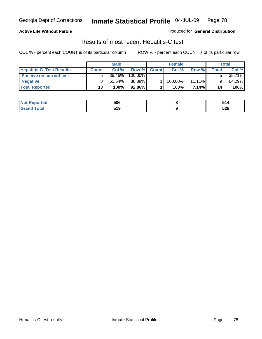### **Active Life Without Parole**

Produced for **General Distribution**

### Results of most recent Hepatitis-C test

|                                 | <b>Male</b>     |           | <b>Female</b> |              |         | Total     |       |        |
|---------------------------------|-----------------|-----------|---------------|--------------|---------|-----------|-------|--------|
| <b>Hepatitis-C Test Results</b> | <b>Count</b>    | Col %     | Row %         | <b>Count</b> | Col %   | Row %     | Total | Col %  |
| <b>Positive on current test</b> |                 | 38.46%    | $100.00\%$    |              |         |           |       | 35.71% |
| <b>Negative</b>                 |                 | $61.54\%$ | 88.89%        |              | 100.00% | $11.11\%$ |       | 64.29% |
| <b>Total Reported</b>           | 13 <sub>1</sub> | 100%      | 92.86%        |              | 100%    | 7.14%I    | 14    | 100%   |

| Reported<br><b>NOT</b> | 506 | ັ<br>- |
|------------------------|-----|--------|
| <b>Cotal</b>           | 640 | cno    |
| . Gr                   | JIJ | ວ∠໐    |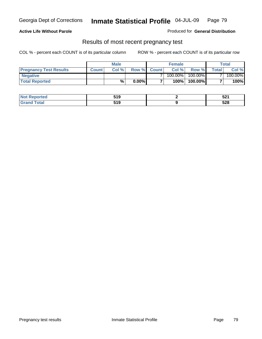#### **Active Life Without Parole**

Produced for **General Distribution**

### Results of most recent pregnancy test

|                               | <b>Male</b>  |      |          | <b>Female</b>  |            |         | <b>Total</b>   |         |
|-------------------------------|--------------|------|----------|----------------|------------|---------|----------------|---------|
| <b>Pregnancy Test Results</b> | <b>Count</b> | Col% | Row %    | <b>Count</b> Ⅰ | Col %      | Row %   | <b>Total</b> I | Col %   |
| <b>Negative</b>               |              |      |          |                | $100.00\%$ | 100.00% |                | 100.00% |
| <b>Total Reported</b>         |              | %    | $0.00\%$ |                | 100%       | 100.00% |                | 100%    |

| orted      | 61 O<br>JIJ | e n.a<br>JZ I |
|------------|-------------|---------------|
| <b>ota</b> | 61 O<br>JIJ | cno<br>ว∠๐    |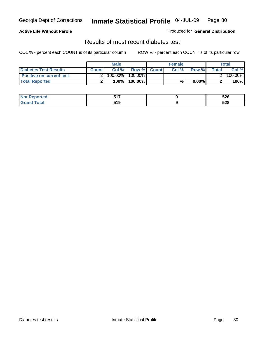### **Active Life Without Parole**

#### Produced for **General Distribution**

### Results of most recent diabetes test

|                                 |              | <b>Male</b> |            |             | <b>Female</b> |          |        | Total   |
|---------------------------------|--------------|-------------|------------|-------------|---------------|----------|--------|---------|
| <b>Diabetes Test Results</b>    | <b>Count</b> | Col %       |            | Row % Count | Col%          | Row %    | Totall | Col %   |
| <b>Positive on current test</b> |              | 100.00%     | $100.00\%$ |             |               |          |        | 100.00% |
| <b>Total Reported</b>           |              | 100%        | 100.00%    |             | %.            | $0.00\%$ |        | 100%    |

| orted      | <b>EA7</b><br>$\sim$ | 526        |
|------------|----------------------|------------|
| <b>ota</b> | 64 O<br>JIJ          | cno<br>ว∠๐ |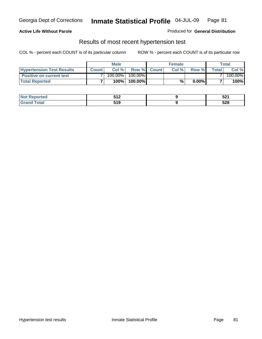### **Active Life Without Parole**

#### Produced for **General Distribution**

### Results of most recent hypertension test

|                                  |              | <b>Male</b> |            |             | <b>Female</b> |          |        | Total   |
|----------------------------------|--------------|-------------|------------|-------------|---------------|----------|--------|---------|
| <b>Hypertension Test Results</b> | <b>Count</b> | Col %       |            | Row % Count | Col%          | Row %    | Totall | Col %   |
| <b>Positive on current test</b>  |              | 100.00%     | $100.00\%$ |             |               |          |        | 100.00% |
| <b>Total Reported</b>            |              | 100%        | 100.00%    |             | %             | $0.00\%$ |        | 100%    |

| orted      | E1 7<br>◡੶<br>$\sim$ $\sim$ | <b>EO4</b><br>JZ I |
|------------|-----------------------------|--------------------|
| <b>ota</b> | 61 O<br>JIJ                 | cno<br>ว∠๐         |